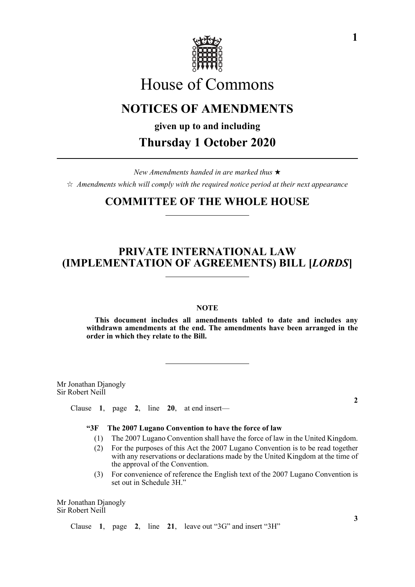

# House of Commons

# **NOTICES OF AMENDMENTS**

**given up to and including**

# **Thursday 1 October 2020**

*New Amendments handed in are marked thus*   $\hat{\varphi}$  Amendments which will comply with the required notice period at their next appearance

# **COMMITTEE OF THE WHOLE HOUSE**

# **PRIVATE INTERNATIONAL LAW (IMPLEMENTATION OF AGREEMENTS) BILL [***LORDS***]**

# **NOTE**

**This document includes all amendments tabled to date and includes any withdrawn amendments at the end. The amendments have been arranged in the order in which they relate to the Bill.**

Mr Jonathan Djanogly Sir Robert Neill

Clause **1**, page **2**, line **20**, at end insert—

**2**

# **"3F The 2007 Lugano Convention to have the force of law**

- (1) The 2007 Lugano Convention shall have the force of law in the United Kingdom.
- (2) For the purposes of this Act the 2007 Lugano Convention is to be read together with any reservations or declarations made by the United Kingdom at the time of the approval of the Convention.
- (3) For convenience of reference the English text of the 2007 Lugano Convention is set out in Schedule 3H."

Mr Jonathan Djanogly Sir Robert Neill

Clause **1**, page **2**, line **21**, leave out "3G" and insert "3H"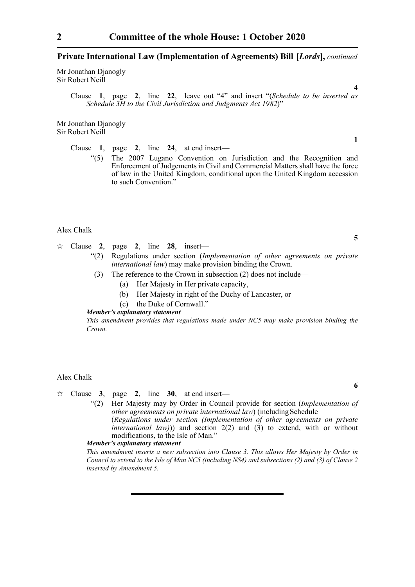Mr Jonathan Djanogly Sir Robert Neill

> Clause **1**, page **2**, line **22**, leave out "4" and insert "(*Schedule to be inserted as Schedule 3H to the Civil Jurisdiction and Judgments Act 1982*)"

Mr Jonathan Djanogly Sir Robert Neill

Clause **1**, page **2**, line **24**, at end insert—

"(5) The 2007 Lugano Convention on Jurisdiction and the Recognition and Enforcement of Judgements in Civil and Commercial Matters shall have the force of law in the United Kingdom, conditional upon the United Kingdom accession to such Convention."

Alex Chalk

- Clause **2**, page **2**, line **28**, insert—
	- "(2) Regulations under section (*Implementation of other agreements on private international law*) may make provision binding the Crown.
	- (3) The reference to the Crown in subsection (2) does not include—
		- (a) Her Majesty in Her private capacity,
		- (b) Her Majesty in right of the Duchy of Lancaster, or
		- (c) the Duke of Cornwall."

*Member's explanatory statement* 

*This amendment provides that regulations made under NC5 may make provision binding the Crown.*

Alex Chalk

 $\approx$  Clause 3, page 2, line 30, at end insert—

"(2) Her Majesty may by Order in Council provide for section (*Implementation of other agreements on private international law*) (including Schedule (*Regulations under section (Implementation of other agreements on private international law)*)) and section 2(2) and (3) to extend, with or without modifications, to the Isle of Man."

*Member's explanatory statement* 

*This amendment inserts a new subsection into Clause 3. This allows Her Majesty by Order in Council to extend to the Isle of Man NC5 (including NS4) and subsections (2) and (3) of Clause 2 inserted by Amendment 5.*

**4**

**1**

**5**

**6**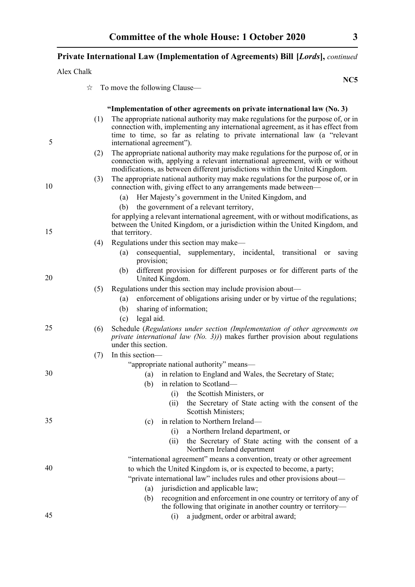Alex Chalk

|    |     | NC5                                                                                                                                                                                                                                                                                                                                                         |
|----|-----|-------------------------------------------------------------------------------------------------------------------------------------------------------------------------------------------------------------------------------------------------------------------------------------------------------------------------------------------------------------|
|    | ☆   | To move the following Clause—                                                                                                                                                                                                                                                                                                                               |
|    |     | "Implementation of other agreements on private international law $(N_0, 3)$                                                                                                                                                                                                                                                                                 |
| 5  | (1) | The appropriate national authority may make regulations for the purpose of, or in<br>connection with, implementing any international agreement, as it has effect from<br>time to time, so far as relating to private international law (a "relevant<br>international agreement").                                                                           |
|    | (2) | The appropriate national authority may make regulations for the purpose of, or in<br>connection with, applying a relevant international agreement, with or without<br>modifications, as between different jurisdictions within the United Kingdom.                                                                                                          |
| 10 | (3) | The appropriate national authority may make regulations for the purpose of, or in<br>connection with, giving effect to any arrangements made between—<br>Her Majesty's government in the United Kingdom, and<br>(a)<br>the government of a relevant territory,<br>(b)<br>for applying a relevant international agreement, with or without modifications, as |
| 15 |     | between the United Kingdom, or a jurisdiction within the United Kingdom, and<br>that territory.                                                                                                                                                                                                                                                             |
|    | (4) | Regulations under this section may make—<br>consequential, supplementary, incidental, transitional or<br>(a)<br>saving<br>provision;                                                                                                                                                                                                                        |
| 20 |     | different provision for different purposes or for different parts of the<br>(b)<br>United Kingdom.                                                                                                                                                                                                                                                          |
|    | (5) | Regulations under this section may include provision about—<br>enforcement of obligations arising under or by virtue of the regulations;<br>(a)<br>sharing of information;<br>(b)<br>legal aid.<br>(c)                                                                                                                                                      |
| 25 | (6) | Schedule (Regulations under section (Implementation of other agreements on<br>private international law (No. 3))) makes further provision about regulations<br>under this section.                                                                                                                                                                          |
|    | (7) | In this section-                                                                                                                                                                                                                                                                                                                                            |
|    |     | "appropriate national authority" means—                                                                                                                                                                                                                                                                                                                     |
| 30 |     | in relation to England and Wales, the Secretary of State;<br>(a)<br>(b) in relation to Scotland—                                                                                                                                                                                                                                                            |
|    |     | the Scottish Ministers, or<br>(i)                                                                                                                                                                                                                                                                                                                           |
|    |     | the Secretary of State acting with the consent of the<br>(ii)<br>Scottish Ministers;                                                                                                                                                                                                                                                                        |
| 35 |     | in relation to Northern Ireland-<br>(c)                                                                                                                                                                                                                                                                                                                     |
|    |     | a Northern Ireland department, or<br>(i)                                                                                                                                                                                                                                                                                                                    |
|    |     | the Secretary of State acting with the consent of a<br>(ii)<br>Northern Ireland department                                                                                                                                                                                                                                                                  |
|    |     | "international agreement" means a convention, treaty or other agreement                                                                                                                                                                                                                                                                                     |
| 40 |     | to which the United Kingdom is, or is expected to become, a party;                                                                                                                                                                                                                                                                                          |
|    |     | "private international law" includes rules and other provisions about-                                                                                                                                                                                                                                                                                      |
|    |     | jurisdiction and applicable law;<br>(a)                                                                                                                                                                                                                                                                                                                     |
|    |     | recognition and enforcement in one country or territory of any of<br>(b)<br>the following that originate in another country or territory-                                                                                                                                                                                                                   |
| 45 |     | a judgment, order or arbitral award;<br>(i)                                                                                                                                                                                                                                                                                                                 |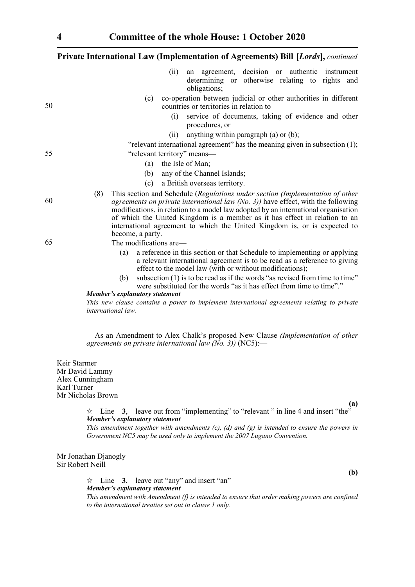- (ii) an agreement, decision or authentic instrument determining or otherwise relating to rights and obligations;
- (c) co-operation between judicial or other authorities in different countries or territories in relation to—
	- (i) service of documents, taking of evidence and other procedures, or
	- (ii) anything within paragraph (a) or (b);
- "relevant international agreement" has the meaning given in subsection (1); "relevant territory" means—
	- (a) the Isle of Man;
	- (b) any of the Channel Islands;
	- (c) a British overseas territory.
- (8) This section and Schedule (*Regulations under section (Implementation of other agreements on private international law (No. 3))* have effect, with the following modifications, in relation to a model law adopted by an international organisation of which the United Kingdom is a member as it has effect in relation to an international agreement to which the United Kingdom is, or is expected to become, a party.
	- The modifications are—
		- (a) a reference in this section or that Schedule to implementing or applying a relevant international agreement is to be read as a reference to giving effect to the model law (with or without modifications);
		- (b) subsection (1) is to be read as if the words "as revised from time to time" were substituted for the words "as it has effect from time to time"."

# *Member's explanatory statement*

*This new clause contains a power to implement international agreements relating to private international law.*

As an Amendment to Alex Chalk's proposed New Clause *(Implementation of other agreements on private international law (No. 3))* (NC5):—

Keir Starmer Mr David Lammy Alex Cunningham Karl Turner Mr Nicholas Brown

**(a)**

**(b)**

 $\angle$  Line **3**, leave out from "implementing" to "relevant" in line 4 and insert "the" *Member's explanatory statement* 

*This amendment together with amendments (c), (d) and (g) is intended to ensure the powers in Government NC5 may be used only to implement the 2007 Lugano Convention.*

Mr Jonathan Djanogly Sir Robert Neill

> $\angle$  Line **3**, leave out "any" and insert "an" *Member's explanatory statement*

*This amendment with Amendment (f) is intended to ensure that order making powers are confined to the international treaties set out in clause 1 only.*

50

55

60

65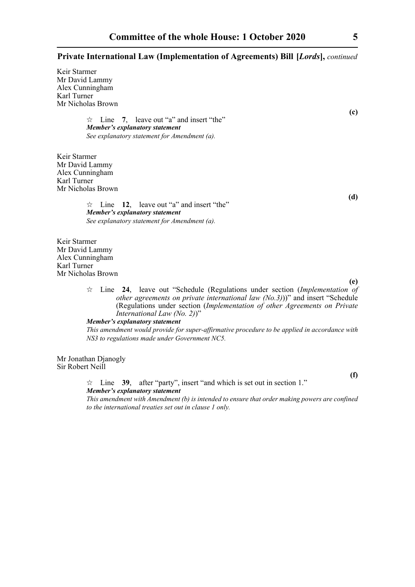Keir Starmer Mr David Lammy Alex Cunningham Karl Turner Mr Nicholas Brown

> $\hat{x}$  Line 7, leave out "a" and insert "the" *Member's explanatory statement See explanatory statement for Amendment (a).*

Keir Starmer Mr David Lammy Alex Cunningham Karl Turner Mr Nicholas Brown

**(d)**

 $\hat{\mathbb{R}}$  Line 12, leave out "a" and insert "the" *Member's explanatory statement See explanatory statement for Amendment (a).*

Keir Starmer Mr David Lammy Alex Cunningham Karl Turner Mr Nicholas Brown

**(e)**

**(f)**

 Line **24**, leave out "Schedule (Regulations under section (*Implementation of other agreements on private international law (No.3)*))" and insert "Schedule (Regulations under section (*Implementation of other Agreements on Private International Law (No. 2)*)"

# *Member's explanatory statement*

*This amendment would provide for super-affirmative procedure to be applied in accordance with NS3 to regulations made under Government NC5.*

Mr Jonathan Djanogly Sir Robert Neill

> $\hat{\mathbb{R}}$  Line **39**, after "party", insert "and which is set out in section 1." *Member's explanatory statement*

*This amendment with Amendment (b) is intended to ensure that order making powers are confined to the international treaties set out in clause 1 only.*

**(c)**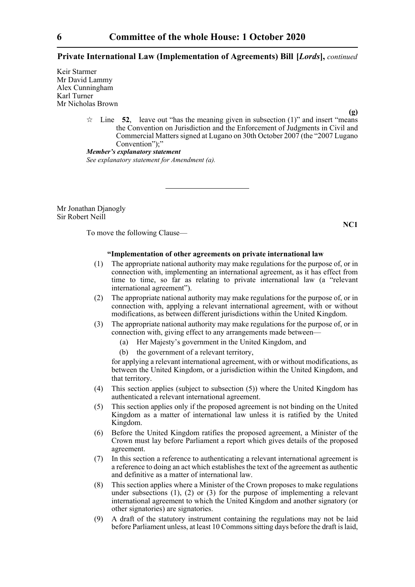Keir Starmer Mr David Lammy Alex Cunningham Karl Turner Mr Nicholas Brown

**(g)**

 $\dot{\varphi}$  Line **52**, leave out "has the meaning given in subsection (1)" and insert "means" the Convention on Jurisdiction and the Enforcement of Judgments in Civil and Commercial Matters signed at Lugano on 30th October 2007 (the "2007 Lugano Convention");"

*Member's explanatory statement See explanatory statement for Amendment (a).* 

Mr Jonathan Djanogly Sir Robert Neill

**NC1**

To move the following Clause—

#### **"Implementation of other agreements on private international law**

- (1) The appropriate national authority may make regulations for the purpose of, or in connection with, implementing an international agreement, as it has effect from time to time, so far as relating to private international law (a "relevant international agreement").
- (2) The appropriate national authority may make regulations for the purpose of, or in connection with, applying a relevant international agreement, with or without modifications, as between different jurisdictions within the United Kingdom.
- (3) The appropriate national authority may make regulations for the purpose of, or in connection with, giving effect to any arrangements made between—
	- (a) Her Majesty's government in the United Kingdom, and
	- (b) the government of a relevant territory,

for applying a relevant international agreement, with or without modifications, as between the United Kingdom, or a jurisdiction within the United Kingdom, and that territory.

- (4) This section applies (subject to subsection (5)) where the United Kingdom has authenticated a relevant international agreement.
- (5) This section applies only if the proposed agreement is not binding on the United Kingdom as a matter of international law unless it is ratified by the United Kingdom.
- (6) Before the United Kingdom ratifies the proposed agreement, a Minister of the Crown must lay before Parliament a report which gives details of the proposed agreement.
- (7) In this section a reference to authenticating a relevant international agreement is a reference to doing an act which establishes the text of the agreement as authentic and definitive as a matter of international law.
- (8) This section applies where a Minister of the Crown proposes to make regulations under subsections  $(1)$ ,  $(2)$  or  $(3)$  for the purpose of implementing a relevant international agreement to which the United Kingdom and another signatory (or other signatories) are signatories.
- (9) A draft of the statutory instrument containing the regulations may not be laid before Parliament unless, at least 10 Commons sitting days before the draft is laid,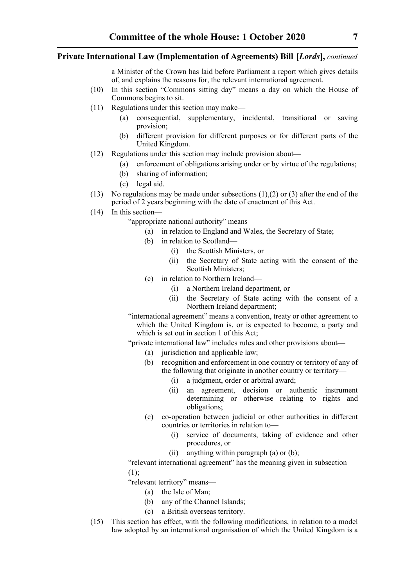a Minister of the Crown has laid before Parliament a report which gives details of, and explains the reasons for, the relevant international agreement.

- (10) In this section "Commons sitting day" means a day on which the House of Commons begins to sit.
- (11) Regulations under this section may make—
	- (a) consequential, supplementary, incidental, transitional or saving provision;
	- (b) different provision for different purposes or for different parts of the United Kingdom.
- (12) Regulations under this section may include provision about—
	- (a) enforcement of obligations arising under or by virtue of the regulations;
	- (b) sharing of information;
	- (c) legal aid.
- (13) No regulations may be made under subsections (1),(2) or (3) after the end of the period of 2 years beginning with the date of enactment of this Act.
- (14) In this section—

"appropriate national authority" means—

- (a) in relation to England and Wales, the Secretary of State;
- (b) in relation to Scotland—
	- (i) the Scottish Ministers, or
	- (ii) the Secretary of State acting with the consent of the Scottish Ministers;
- (c) in relation to Northern Ireland—
	- (i) a Northern Ireland department, or
	- (ii) the Secretary of State acting with the consent of a Northern Ireland department;
- "international agreement" means a convention, treaty or other agreement to which the United Kingdom is, or is expected to become, a party and which is set out in section 1 of this Act;

"private international law" includes rules and other provisions about—

- (a) jurisdiction and applicable law;
- (b) recognition and enforcement in one country or territory of any of the following that originate in another country or territory—
	- (i) a judgment, order or arbitral award;
	- (ii) an agreement, decision or authentic instrument determining or otherwise relating to rights and obligations;
- (c) co-operation between judicial or other authorities in different countries or territories in relation to—
	- (i) service of documents, taking of evidence and other procedures, or
	- (ii) anything within paragraph (a) or (b);

"relevant international agreement" has the meaning given in subsection (1);

"relevant territory" means—

- (a) the Isle of Man;
- (b) any of the Channel Islands;
- (c) a British overseas territory.
- (15) This section has effect, with the following modifications, in relation to a model law adopted by an international organisation of which the United Kingdom is a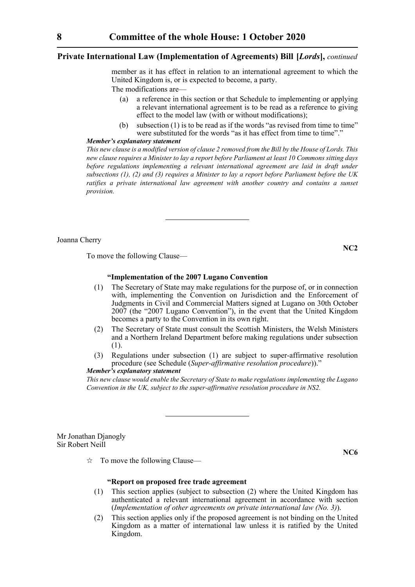member as it has effect in relation to an international agreement to which the United Kingdom is, or is expected to become, a party.

The modifications are—

- (a) a reference in this section or that Schedule to implementing or applying a relevant international agreement is to be read as a reference to giving effect to the model law (with or without modifications);
- (b) subsection (1) is to be read as if the words "as revised from time to time" were substituted for the words "as it has effect from time to time"."

#### *Member's explanatory statement*

*This new clause is a modified version of clause 2 removed from the Bill by the House of Lords. This new clause requires a Minister to lay a report before Parliament at least 10 Commons sitting days before regulations implementing a relevant international agreement are laid in draft under subsections (1), (2) and (3) requires a Minister to lay a report before Parliament before the UK ratifies a private international law agreement with another country and contains a sunset provision.*

Joanna Cherry

**NC2**

To move the following Clause—

### **"Implementation of the 2007 Lugano Convention**

- (1) The Secretary of State may make regulations for the purpose of, or in connection with, implementing the Convention on Jurisdiction and the Enforcement of Judgments in Civil and Commercial Matters signed at Lugano on 30th October 2007 (the "2007 Lugano Convention"), in the event that the United Kingdom becomes a party to the Convention in its own right.
- (2) The Secretary of State must consult the Scottish Ministers, the Welsh Ministers and a Northern Ireland Department before making regulations under subsection (1).
- (3) Regulations under subsection (1) are subject to super-affirmative resolution procedure (see Schedule (*Super-affirmative resolution procedure*))."

# *Member's explanatory statement*

*This new clause would enable the Secretary of State to make regulations implementing the Lugano Convention in the UK, subject to the super-affirmative resolution procedure in NS2.*

Mr Jonathan Djanogly Sir Robert Neill

**NC6**

 $\vec{\mathcal{R}}$  To move the following Clause—

# **"Report on proposed free trade agreement**

- (1) This section applies (subject to subsection (2) where the United Kingdom has authenticated a relevant international agreement in accordance with section (*Implementation of other agreements on private international law (No. 3)*).
- (2) This section applies only if the proposed agreement is not binding on the United Kingdom as a matter of international law unless it is ratified by the United Kingdom.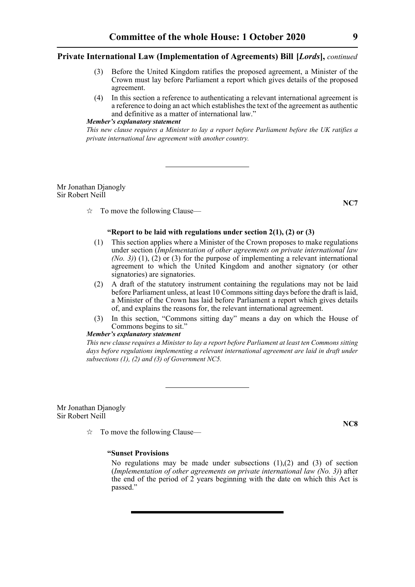- (3) Before the United Kingdom ratifies the proposed agreement, a Minister of the Crown must lay before Parliament a report which gives details of the proposed agreement.
- (4) In this section a reference to authenticating a relevant international agreement is a reference to doing an act which establishes the text of the agreement as authentic and definitive as a matter of international law."

# *Member's explanatory statement*

*This new clause requires a Minister to lay a report before Parliament before the UK ratifies a private international law agreement with another country.*

#### Mr Jonathan Djanogly Sir Robert Neill

**NC7**

 $\vec{\mathcal{R}}$  To move the following Clause—

# **"Report to be laid with regulations under section 2(1), (2) or (3)**

- (1) This section applies where a Minister of the Crown proposes to make regulations under section (*Implementation of other agreements on private international law*  $(No. 3)$  (1), (2) or (3) for the purpose of implementing a relevant international agreement to which the United Kingdom and another signatory (or other signatories) are signatories.
- (2) A draft of the statutory instrument containing the regulations may not be laid before Parliament unless, at least 10 Commons sitting days before the draft is laid, a Minister of the Crown has laid before Parliament a report which gives details of, and explains the reasons for, the relevant international agreement.
- (3) In this section, "Commons sitting day" means a day on which the House of Commons begins to sit."

# *Member's explanatory statement*

*This new clause requires a Minister to lay a report before Parliament at least ten Commons sitting days before regulations implementing a relevant international agreement are laid in draft under subsections (1), (2) and (3) of Government NC5.*

Mr Jonathan Djanogly Sir Robert Neill

**NC8**

 $\vec{x}$  To move the following Clause—

# **"Sunset Provisions**

 No regulations may be made under subsections (1),(2) and (3) of section (*Implementation of other agreements on private international law (No. 3)*) after the end of the period of 2 years beginning with the date on which this Act is passed."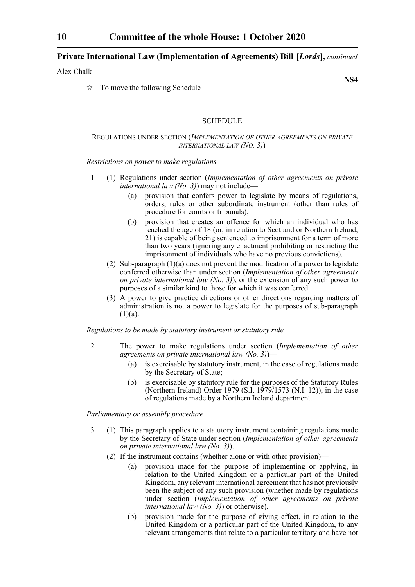Alex Chalk

**NS4**

 $\vec{x}$  To move the following Schedule—

# **SCHEDULE**

### REGULATIONS UNDER SECTION (*IMPLEMENTATION OF OTHER AGREEMENTS ON PRIVATE INTERNATIONAL LAW (NO. 3)*)

#### *Restrictions on power to make regulations*

- 1 (1) Regulations under section (*Implementation of other agreements on private international law (No. 3)*) may not include—
	- (a) provision that confers power to legislate by means of regulations, orders, rules or other subordinate instrument (other than rules of procedure for courts or tribunals);
	- (b) provision that creates an offence for which an individual who has reached the age of 18 (or, in relation to Scotland or Northern Ireland, 21) is capable of being sentenced to imprisonment for a term of more than two years (ignoring any enactment prohibiting or restricting the imprisonment of individuals who have no previous convictions).
	- (2) Sub-paragraph (1)(a) does not prevent the modification of a power to legislate conferred otherwise than under section (*Implementation of other agreements on private international law (No. 3)*), or the extension of any such power to purposes of a similar kind to those for which it was conferred.
	- (3) A power to give practice directions or other directions regarding matters of administration is not a power to legislate for the purposes of sub-paragraph  $(1)(a)$ .

*Regulations to be made by statutory instrument or statutory rule*

- 2 The power to make regulations under section (*Implementation of other agreements on private international law (No. 3)*)—
	- (a) is exercisable by statutory instrument, in the case of regulations made by the Secretary of State;
	- (b) is exercisable by statutory rule for the purposes of the Statutory Rules (Northern Ireland) Order 1979 (S.I. 1979/1573 (N.I. 12)), in the case of regulations made by a Northern Ireland department.

*Parliamentary or assembly procedure*

- 3 (1) This paragraph applies to a statutory instrument containing regulations made by the Secretary of State under section (*Implementation of other agreements on private international law (No. 3)*).
	- (2) If the instrument contains (whether alone or with other provision)—
		- (a) provision made for the purpose of implementing or applying, in relation to the United Kingdom or a particular part of the United Kingdom, any relevant international agreement that has not previously been the subject of any such provision (whether made by regulations under section (*Implementation of other agreements on private international law (No. 3)*) or otherwise),
		- (b) provision made for the purpose of giving effect, in relation to the United Kingdom or a particular part of the United Kingdom, to any relevant arrangements that relate to a particular territory and have not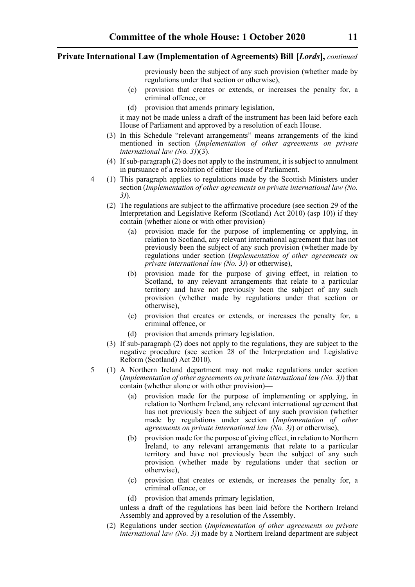previously been the subject of any such provision (whether made by regulations under that section or otherwise),

- (c) provision that creates or extends, or increases the penalty for, a criminal offence, or
- (d) provision that amends primary legislation,

it may not be made unless a draft of the instrument has been laid before each House of Parliament and approved by a resolution of each House.

- (3) In this Schedule "relevant arrangements" means arrangements of the kind mentioned in section (*Implementation of other agreements on private international law (No. 3)*)(3).
- (4) If sub-paragraph (2) does not apply to the instrument, it is subject to annulment in pursuance of a resolution of either House of Parliament.
- 4 (1) This paragraph applies to regulations made by the Scottish Ministers under section (*Implementation of other agreements on private international law (No. 3)*).
	- (2) The regulations are subject to the affirmative procedure (see section 29 of the Interpretation and Legislative Reform (Scotland) Act 2010) (asp 10)) if they contain (whether alone or with other provision)—
		- (a) provision made for the purpose of implementing or applying, in relation to Scotland, any relevant international agreement that has not previously been the subject of any such provision (whether made by regulations under section (*Implementation of other agreements on private international law (No. 3)*) or otherwise),
		- (b) provision made for the purpose of giving effect, in relation to Scotland, to any relevant arrangements that relate to a particular territory and have not previously been the subject of any such provision (whether made by regulations under that section or otherwise),
		- (c) provision that creates or extends, or increases the penalty for, a criminal offence, or
		- (d) provision that amends primary legislation.
	- (3) If sub-paragraph (2) does not apply to the regulations, they are subject to the negative procedure (see section 28 of the Interpretation and Legislative Reform (Scotland) Act 2010).
- 5 (1) A Northern Ireland department may not make regulations under section (*Implementation of other agreements on private international law (No. 3)*) that contain (whether alone or with other provision)—
	- (a) provision made for the purpose of implementing or applying, in relation to Northern Ireland, any relevant international agreement that has not previously been the subject of any such provision (whether made by regulations under section (*Implementation of other agreements on private international law (No. 3)*) or otherwise),
	- (b) provision made for the purpose of giving effect, in relation to Northern Ireland, to any relevant arrangements that relate to a particular territory and have not previously been the subject of any such provision (whether made by regulations under that section or otherwise),
	- (c) provision that creates or extends, or increases the penalty for, a criminal offence, or
	- (d) provision that amends primary legislation,

unless a draft of the regulations has been laid before the Northern Ireland Assembly and approved by a resolution of the Assembly.

(2) Regulations under section (*Implementation of other agreements on private international law (No. 3)*) made by a Northern Ireland department are subject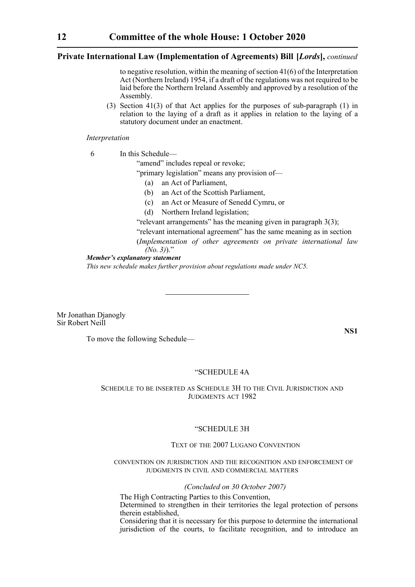to negative resolution, within the meaning of section 41(6) of the Interpretation Act (Northern Ireland) 1954, if a draft of the regulations was not required to be laid before the Northern Ireland Assembly and approved by a resolution of the Assembly.

(3) Section 41(3) of that Act applies for the purposes of sub-paragraph (1) in relation to the laying of a draft as it applies in relation to the laying of a statutory document under an enactment.

#### *Interpretation*

6 In this Schedule—

"amend" includes repeal or revoke;

"primary legislation" means any provision of—

- (a) an Act of Parliament,
- (b) an Act of the Scottish Parliament,
- (c) an Act or Measure of Senedd Cymru, or
- (d) Northern Ireland legislation;

"relevant arrangements" has the meaning given in paragraph 3(3);

"relevant international agreement" has the same meaning as in section

(*Implementation of other agreements on private international law (No. 3)*)."

# *Member's explanatory statement*

*This new schedule makes further provision about regulations made under NC5.*

Mr Jonathan Djanogly Sir Robert Neill

To move the following Schedule—

**NS1**

# "SCHEDULE 4A

# SCHEDULE TO BE INSERTED AS SCHEDULE 3H TO THE CIVIL JURISDICTION AND JUDGMENTS ACT 1982

#### "SCHEDULE 3H

#### TEXT OF THE 2007 LUGANO CONVENTION

# CONVENTION ON JURISDICTION AND THE RECOGNITION AND ENFORCEMENT OF JUDGMENTS IN CIVIL AND COMMERCIAL MATTERS

# *(Concluded on 30 October 2007)*

The High Contracting Parties to this Convention,

Determined to strengthen in their territories the legal protection of persons therein established,

Considering that it is necessary for this purpose to determine the international jurisdiction of the courts, to facilitate recognition, and to introduce an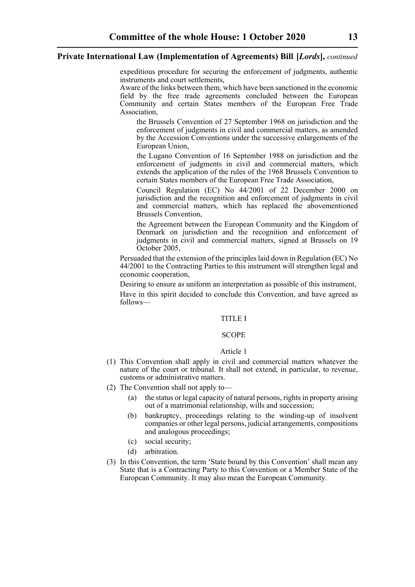expeditious procedure for securing the enforcement of judgments, authentic instruments and court settlements,

Aware of the links between them, which have been sanctioned in the economic field by the free trade agreements concluded between the European Community and certain States members of the European Free Trade Association,

 the Brussels Convention of 27 September 1968 on jurisdiction and the enforcement of judgments in civil and commercial matters, as amended by the Accession Conventions under the successive enlargements of the European Union,

 the Lugano Convention of 16 September 1988 on jurisdiction and the enforcement of judgments in civil and commercial matters, which extends the application of the rules of the 1968 Brussels Convention to certain States members of the European Free Trade Association,

 Council Regulation (EC) No 44/2001 of 22 December 2000 on jurisdiction and the recognition and enforcement of judgments in civil and commercial matters, which has replaced the abovementioned Brussels Convention,

 the Agreement between the European Community and the Kingdom of Denmark on jurisdiction and the recognition and enforcement of judgments in civil and commercial matters, signed at Brussels on 19 October 2005,

Persuaded that the extension of the principles laid down in Regulation (EC) No 44/2001 to the Contracting Parties to this instrument will strengthen legal and economic cooperation,

Desiring to ensure as uniform an interpretation as possible of this instrument, Have in this spirit decided to conclude this Convention, and have agreed as follows—

#### TITLE I

# **SCOPE**

- (1) This Convention shall apply in civil and commercial matters whatever the nature of the court or tribunal. It shall not extend, in particular, to revenue, customs or administrative matters.
- (2) The Convention shall not apply to—
	- (a) the status or legal capacity of natural persons, rights in property arising out of a matrimonial relationship, wills and succession;
	- (b) bankruptcy, proceedings relating to the winding-up of insolvent companies or other legal persons, judicial arrangements, compositions and analogous proceedings;
	- (c) social security;
	- (d) arbitration.
- (3) In this Convention, the term 'State bound by this Convention' shall mean any State that is a Contracting Party to this Convention or a Member State of the European Community. It may also mean the European Community.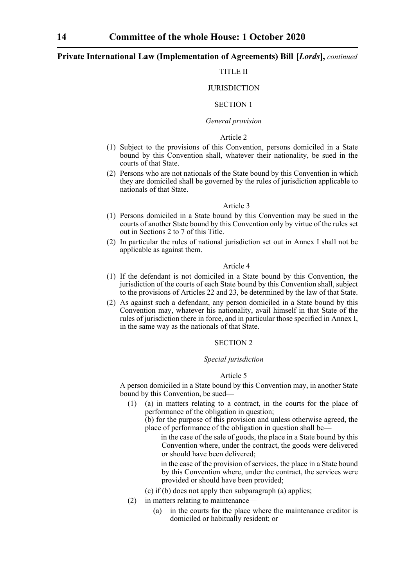#### TITLE II

# **JURISDICTION**

#### SECTION 1

#### *General provision*

#### Article 2

- (1) Subject to the provisions of this Convention, persons domiciled in a State bound by this Convention shall, whatever their nationality, be sued in the courts of that State.
- (2) Persons who are not nationals of the State bound by this Convention in which they are domiciled shall be governed by the rules of jurisdiction applicable to nationals of that State.

#### Article 3

- (1) Persons domiciled in a State bound by this Convention may be sued in the courts of another State bound by this Convention only by virtue of the rules set out in Sections 2 to 7 of this Title.
- (2) In particular the rules of national jurisdiction set out in Annex I shall not be applicable as against them.

#### Article 4

- (1) If the defendant is not domiciled in a State bound by this Convention, the jurisdiction of the courts of each State bound by this Convention shall, subject to the provisions of Articles 22 and 23, be determined by the law of that State.
- (2) As against such a defendant, any person domiciled in a State bound by this Convention may, whatever his nationality, avail himself in that State of the rules of jurisdiction there in force, and in particular those specified in Annex I, in the same way as the nationals of that State.

# SECTION 2

#### *Special jurisdiction*

#### Article 5

A person domiciled in a State bound by this Convention may, in another State bound by this Convention, be sued—

(1) (a) in matters relating to a contract, in the courts for the place of performance of the obligation in question;

(b) for the purpose of this provision and unless otherwise agreed, the place of performance of the obligation in question shall be—

in the case of the sale of goods, the place in a State bound by this Convention where, under the contract, the goods were delivered or should have been delivered;

in the case of the provision of services, the place in a State bound by this Convention where, under the contract, the services were provided or should have been provided;

- (c) if (b) does not apply then subparagraph (a) applies;
- (2) in matters relating to maintenance—
	- (a) in the courts for the place where the maintenance creditor is domiciled or habitually resident; or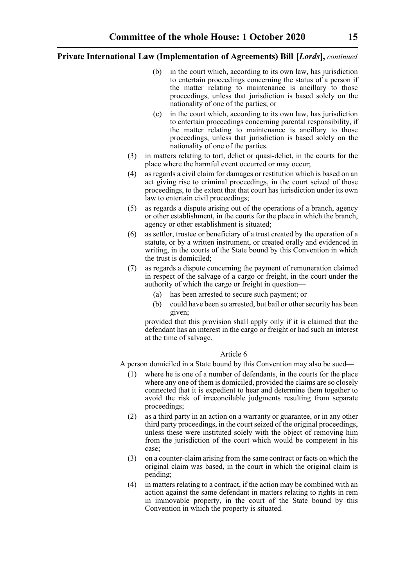- (b) in the court which, according to its own law, has jurisdiction to entertain proceedings concerning the status of a person if the matter relating to maintenance is ancillary to those proceedings, unless that jurisdiction is based solely on the nationality of one of the parties; or
- (c) in the court which, according to its own law, has jurisdiction to entertain proceedings concerning parental responsibility, if the matter relating to maintenance is ancillary to those proceedings, unless that jurisdiction is based solely on the nationality of one of the parties.
- (3) in matters relating to tort, delict or quasi-delict, in the courts for the place where the harmful event occurred or may occur;
- (4) as regards a civil claim for damages or restitution which is based on an act giving rise to criminal proceedings, in the court seized of those proceedings, to the extent that that court has jurisdiction under its own law to entertain civil proceedings;
- (5) as regards a dispute arising out of the operations of a branch, agency or other establishment, in the courts for the place in which the branch, agency or other establishment is situated;
- (6) as settlor, trustee or beneficiary of a trust created by the operation of a statute, or by a written instrument, or created orally and evidenced in writing, in the courts of the State bound by this Convention in which the trust is domiciled;
- (7) as regards a dispute concerning the payment of remuneration claimed in respect of the salvage of a cargo or freight, in the court under the authority of which the cargo or freight in question—
	- (a) has been arrested to secure such payment; or
	- (b) could have been so arrested, but bail or other security has been given;

provided that this provision shall apply only if it is claimed that the defendant has an interest in the cargo or freight or had such an interest at the time of salvage.

# Article 6

A person domiciled in a State bound by this Convention may also be sued—

- (1) where he is one of a number of defendants, in the courts for the place where any one of them is domiciled, provided the claims are so closely connected that it is expedient to hear and determine them together to avoid the risk of irreconcilable judgments resulting from separate proceedings;
- (2) as a third party in an action on a warranty or guarantee, or in any other third party proceedings, in the court seized of the original proceedings, unless these were instituted solely with the object of removing him from the jurisdiction of the court which would be competent in his case;
- (3) on a counter-claim arising from the same contract or facts on which the original claim was based, in the court in which the original claim is pending;
- (4) in matters relating to a contract, if the action may be combined with an action against the same defendant in matters relating to rights in rem in immovable property, in the court of the State bound by this Convention in which the property is situated.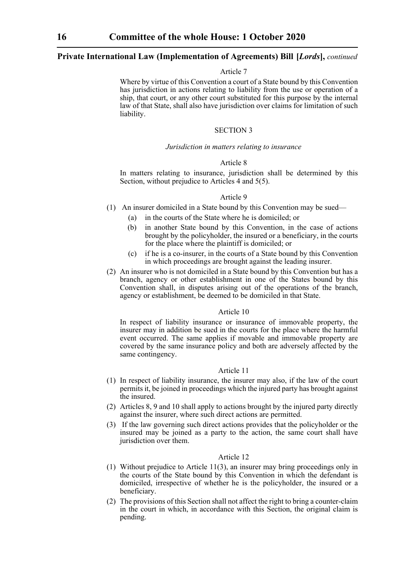#### Article 7

Where by virtue of this Convention a court of a State bound by this Convention has jurisdiction in actions relating to liability from the use or operation of a ship, that court, or any other court substituted for this purpose by the internal law of that State, shall also have jurisdiction over claims for limitation of such liability.

#### SECTION 3

#### *Jurisdiction in matters relating to insurance*

# Article 8

In matters relating to insurance, jurisdiction shall be determined by this Section, without prejudice to Articles 4 and 5(5).

#### Article 9

- (1) An insurer domiciled in a State bound by this Convention may be sued—
	- (a) in the courts of the State where he is domiciled; or
	- (b) in another State bound by this Convention, in the case of actions brought by the policyholder, the insured or a beneficiary, in the courts for the place where the plaintiff is domiciled; or
	- (c) if he is a co-insurer, in the courts of a State bound by this Convention in which proceedings are brought against the leading insurer.
- (2) An insurer who is not domiciled in a State bound by this Convention but has a branch, agency or other establishment in one of the States bound by this Convention shall, in disputes arising out of the operations of the branch, agency or establishment, be deemed to be domiciled in that State.

#### Article 10

In respect of liability insurance or insurance of immovable property, the insurer may in addition be sued in the courts for the place where the harmful event occurred. The same applies if movable and immovable property are covered by the same insurance policy and both are adversely affected by the same contingency.

# Article 11

- (1) In respect of liability insurance, the insurer may also, if the law of the court permits it, be joined in proceedings which the injured party has brought against the insured.
- (2) Articles 8, 9 and 10 shall apply to actions brought by the injured party directly against the insurer, where such direct actions are permitted.
- (3) If the law governing such direct actions provides that the policyholder or the insured may be joined as a party to the action, the same court shall have jurisdiction over them.

- (1) Without prejudice to Article 11(3), an insurer may bring proceedings only in the courts of the State bound by this Convention in which the defendant is domiciled, irrespective of whether he is the policyholder, the insured or a beneficiary.
- (2) The provisions of this Section shall not affect the right to bring a counter-claim in the court in which, in accordance with this Section, the original claim is pending.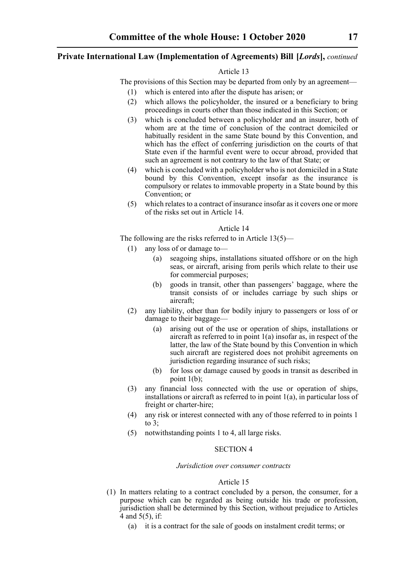#### Article 13

The provisions of this Section may be departed from only by an agreement—

- (1) which is entered into after the dispute has arisen; or
- (2) which allows the policyholder, the insured or a beneficiary to bring proceedings in courts other than those indicated in this Section; or
- (3) which is concluded between a policyholder and an insurer, both of whom are at the time of conclusion of the contract domiciled or habitually resident in the same State bound by this Convention, and which has the effect of conferring jurisdiction on the courts of that State even if the harmful event were to occur abroad, provided that such an agreement is not contrary to the law of that State; or
- (4) which is concluded with a policyholder who is not domiciled in a State bound by this Convention, except insofar as the insurance is compulsory or relates to immovable property in a State bound by this Convention; or
- (5) which relates to a contract of insurance insofar as it covers one or more of the risks set out in Article 14.

# Article 14

The following are the risks referred to in Article 13(5)—

- (1) any loss of or damage to—
	- (a) seagoing ships, installations situated offshore or on the high seas, or aircraft, arising from perils which relate to their use for commercial purposes;
	- (b) goods in transit, other than passengers' baggage, where the transit consists of or includes carriage by such ships or aircraft;
- (2) any liability, other than for bodily injury to passengers or loss of or damage to their baggage—
	- (a) arising out of the use or operation of ships, installations or aircraft as referred to in point 1(a) insofar as, in respect of the latter, the law of the State bound by this Convention in which such aircraft are registered does not prohibit agreements on jurisdiction regarding insurance of such risks;
	- (b) for loss or damage caused by goods in transit as described in point 1(b);
- (3) any financial loss connected with the use or operation of ships, installations or aircraft as referred to in point 1(a), in particular loss of freight or charter-hire;
- (4) any risk or interest connected with any of those referred to in points 1 to 3;
- (5) notwithstanding points 1 to 4, all large risks.

# SECTION 4

#### *Jurisdiction over consumer contracts*

- (1) In matters relating to a contract concluded by a person, the consumer, for a purpose which can be regarded as being outside his trade or profession, jurisdiction shall be determined by this Section, without prejudice to Articles 4 and 5(5), if:
	- (a) it is a contract for the sale of goods on instalment credit terms; or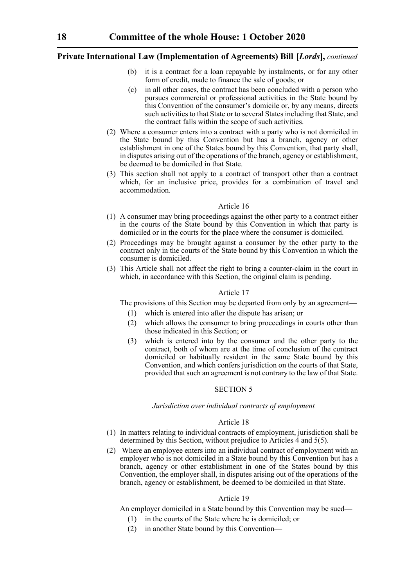- (b) it is a contract for a loan repayable by instalments, or for any other form of credit, made to finance the sale of goods; or
- (c) in all other cases, the contract has been concluded with a person who pursues commercial or professional activities in the State bound by this Convention of the consumer's domicile or, by any means, directs such activities to that State or to several States including that State, and the contract falls within the scope of such activities.
- (2) Where a consumer enters into a contract with a party who is not domiciled in the State bound by this Convention but has a branch, agency or other establishment in one of the States bound by this Convention, that party shall, in disputes arising out of the operations of the branch, agency or establishment, be deemed to be domiciled in that State.
- (3) This section shall not apply to a contract of transport other than a contract which, for an inclusive price, provides for a combination of travel and accommodation.

#### Article 16

- (1) A consumer may bring proceedings against the other party to a contract either in the courts of the State bound by this Convention in which that party is domiciled or in the courts for the place where the consumer is domiciled.
- (2) Proceedings may be brought against a consumer by the other party to the contract only in the courts of the State bound by this Convention in which the consumer is domiciled.
- (3) This Article shall not affect the right to bring a counter-claim in the court in which, in accordance with this Section, the original claim is pending.

# Article 17

The provisions of this Section may be departed from only by an agreement—

- (1) which is entered into after the dispute has arisen; or
- (2) which allows the consumer to bring proceedings in courts other than those indicated in this Section; or
- (3) which is entered into by the consumer and the other party to the contract, both of whom are at the time of conclusion of the contract domiciled or habitually resident in the same State bound by this Convention, and which confers jurisdiction on the courts of that State, provided that such an agreement is not contrary to the law of that State.

# SECTION 5

#### *Jurisdiction over individual contracts of employment*

#### Article 18

- (1) In matters relating to individual contracts of employment, jurisdiction shall be determined by this Section, without prejudice to Articles 4 and 5(5).
- (2) Where an employee enters into an individual contract of employment with an employer who is not domiciled in a State bound by this Convention but has a branch, agency or other establishment in one of the States bound by this Convention, the employer shall, in disputes arising out of the operations of the branch, agency or establishment, be deemed to be domiciled in that State.

#### Article 19

An employer domiciled in a State bound by this Convention may be sued—

- (1) in the courts of the State where he is domiciled; or
- (2) in another State bound by this Convention—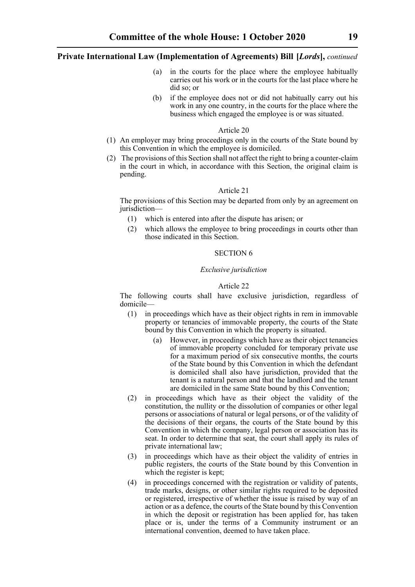- (a) in the courts for the place where the employee habitually carries out his work or in the courts for the last place where he did so; or
- (b) if the employee does not or did not habitually carry out his work in any one country, in the courts for the place where the business which engaged the employee is or was situated.

#### Article 20

- (1) An employer may bring proceedings only in the courts of the State bound by this Convention in which the employee is domiciled.
- (2) The provisions of this Section shall not affect the right to bring a counter-claim in the court in which, in accordance with this Section, the original claim is pending.

# Article 21

The provisions of this Section may be departed from only by an agreement on jurisdiction—

- (1) which is entered into after the dispute has arisen; or
- (2) which allows the employee to bring proceedings in courts other than those indicated in this Section.

# SECTION 6

# *Exclusive jurisdiction*

#### Article 22

The following courts shall have exclusive jurisdiction, regardless of domicile—

- (1) in proceedings which have as their object rights in rem in immovable property or tenancies of immovable property, the courts of the State bound by this Convention in which the property is situated.
	- (a) However, in proceedings which have as their object tenancies of immovable property concluded for temporary private use for a maximum period of six consecutive months, the courts of the State bound by this Convention in which the defendant is domiciled shall also have jurisdiction, provided that the tenant is a natural person and that the landlord and the tenant are domiciled in the same State bound by this Convention;
- (2) in proceedings which have as their object the validity of the constitution, the nullity or the dissolution of companies or other legal persons or associations of natural or legal persons, or of the validity of the decisions of their organs, the courts of the State bound by this Convention in which the company, legal person or association has its seat. In order to determine that seat, the court shall apply its rules of private international law;
- (3) in proceedings which have as their object the validity of entries in public registers, the courts of the State bound by this Convention in which the register is kept;
- (4) in proceedings concerned with the registration or validity of patents, trade marks, designs, or other similar rights required to be deposited or registered, irrespective of whether the issue is raised by way of an action or as a defence, the courts of the State bound by this Convention in which the deposit or registration has been applied for, has taken place or is, under the terms of a Community instrument or an international convention, deemed to have taken place.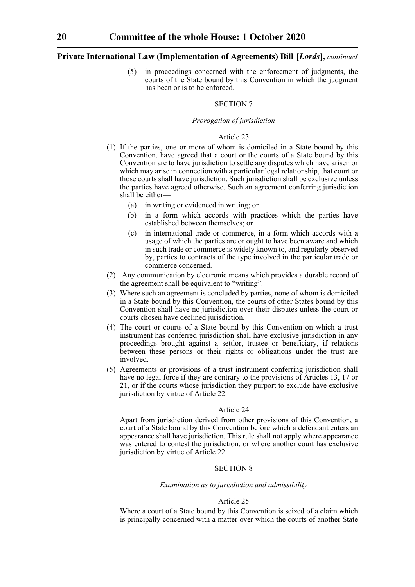(5) in proceedings concerned with the enforcement of judgments, the courts of the State bound by this Convention in which the judgment has been or is to be enforced.

# SECTION 7

#### *Prorogation of jurisdiction*

#### Article 23

- (1) If the parties, one or more of whom is domiciled in a State bound by this Convention, have agreed that a court or the courts of a State bound by this Convention are to have jurisdiction to settle any disputes which have arisen or which may arise in connection with a particular legal relationship, that court or those courts shall have jurisdiction. Such jurisdiction shall be exclusive unless the parties have agreed otherwise. Such an agreement conferring jurisdiction shall be either—
	- (a) in writing or evidenced in writing; or
	- (b) in a form which accords with practices which the parties have established between themselves; or
	- (c) in international trade or commerce, in a form which accords with a usage of which the parties are or ought to have been aware and which in such trade or commerce is widely known to, and regularly observed by, parties to contracts of the type involved in the particular trade or commerce concerned.
- (2) Any communication by electronic means which provides a durable record of the agreement shall be equivalent to "writing".
- (3) Where such an agreement is concluded by parties, none of whom is domiciled in a State bound by this Convention, the courts of other States bound by this Convention shall have no jurisdiction over their disputes unless the court or courts chosen have declined jurisdiction.
- (4) The court or courts of a State bound by this Convention on which a trust instrument has conferred jurisdiction shall have exclusive jurisdiction in any proceedings brought against a settlor, trustee or beneficiary, if relations between these persons or their rights or obligations under the trust are involved.
- (5) Agreements or provisions of a trust instrument conferring jurisdiction shall have no legal force if they are contrary to the provisions of Articles 13, 17 or 21, or if the courts whose jurisdiction they purport to exclude have exclusive jurisdiction by virtue of Article 22.

#### Article 24

Apart from jurisdiction derived from other provisions of this Convention, a court of a State bound by this Convention before which a defendant enters an appearance shall have jurisdiction. This rule shall not apply where appearance was entered to contest the jurisdiction, or where another court has exclusive jurisdiction by virtue of Article 22.

# SECTION 8

#### *Examination as to jurisdiction and admissibility*

#### Article 25

Where a court of a State bound by this Convention is seized of a claim which is principally concerned with a matter over which the courts of another State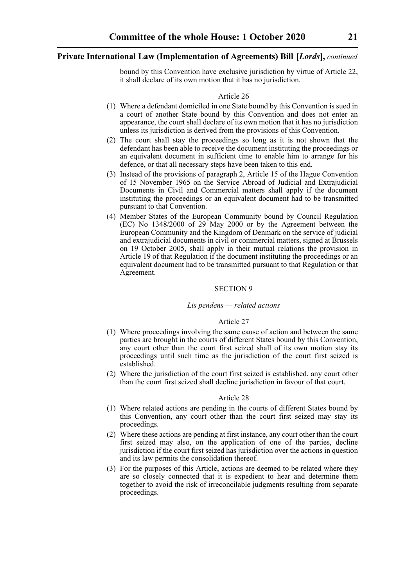bound by this Convention have exclusive jurisdiction by virtue of Article 22, it shall declare of its own motion that it has no jurisdiction.

#### Article 26

- (1) Where a defendant domiciled in one State bound by this Convention is sued in a court of another State bound by this Convention and does not enter an appearance, the court shall declare of its own motion that it has no jurisdiction unless its jurisdiction is derived from the provisions of this Convention.
- (2) The court shall stay the proceedings so long as it is not shown that the defendant has been able to receive the document instituting the proceedings or an equivalent document in sufficient time to enable him to arrange for his defence, or that all necessary steps have been taken to this end.
- (3) Instead of the provisions of paragraph 2, Article 15 of the Hague Convention of 15 November 1965 on the Service Abroad of Judicial and Extrajudicial Documents in Civil and Commercial matters shall apply if the document instituting the proceedings or an equivalent document had to be transmitted pursuant to that Convention.
- (4) Member States of the European Community bound by Council Regulation (EC) No 1348/2000 of 29 May 2000 or by the Agreement between the European Community and the Kingdom of Denmark on the service of judicial and extrajudicial documents in civil or commercial matters, signed at Brussels on 19 October 2005, shall apply in their mutual relations the provision in Article 19 of that Regulation if the document instituting the proceedings or an equivalent document had to be transmitted pursuant to that Regulation or that Agreement.

#### SECTION 9

# *Lis pendens — related actions*

#### Article 27

- (1) Where proceedings involving the same cause of action and between the same parties are brought in the courts of different States bound by this Convention, any court other than the court first seized shall of its own motion stay its proceedings until such time as the jurisdiction of the court first seized is established.
- (2) Where the jurisdiction of the court first seized is established, any court other than the court first seized shall decline jurisdiction in favour of that court.

- (1) Where related actions are pending in the courts of different States bound by this Convention, any court other than the court first seized may stay its proceedings.
- (2) Where these actions are pending at first instance, any court other than the court first seized may also, on the application of one of the parties, decline jurisdiction if the court first seized has jurisdiction over the actions in question and its law permits the consolidation thereof.
- (3) For the purposes of this Article, actions are deemed to be related where they are so closely connected that it is expedient to hear and determine them together to avoid the risk of irreconcilable judgments resulting from separate proceedings.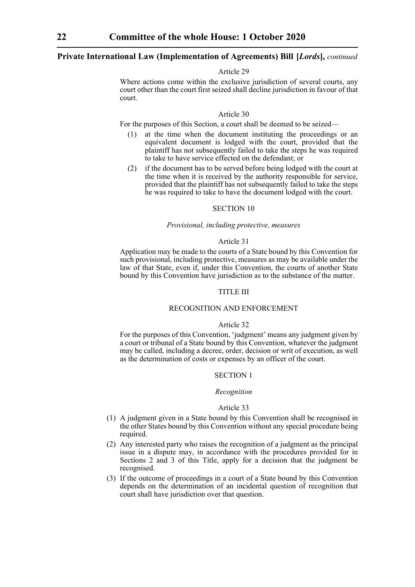#### Article 29

Where actions come within the exclusive jurisdiction of several courts, any court other than the court first seized shall decline jurisdiction in favour of that court.

#### Article 30

For the purposes of this Section, a court shall be deemed to be seized—

- (1) at the time when the document instituting the proceedings or an equivalent document is lodged with the court, provided that the plaintiff has not subsequently failed to take the steps he was required to take to have service effected on the defendant; or
- (2) if the document has to be served before being lodged with the court at the time when it is received by the authority responsible for service, provided that the plaintiff has not subsequently failed to take the steps he was required to take to have the document lodged with the court.

#### SECTION 10

#### *Provisional, including protective, measures*

#### Article 31

Application may be made to the courts of a State bound by this Convention for such provisional, including protective, measures as may be available under the law of that State, even if, under this Convention, the courts of another State bound by this Convention have jurisdiction as to the substance of the matter.

#### TITLE III

#### RECOGNITION AND ENFORCEMENT

#### Article 32

For the purposes of this Convention, 'judgment' means any judgment given by a court or tribunal of a State bound by this Convention, whatever the judgment may be called, including a decree, order, decision or writ of execution, as well as the determination of costs or expenses by an officer of the court.

#### SECTION 1

#### *Recognition*

- (1) A judgment given in a State bound by this Convention shall be recognised in the other States bound by this Convention without any special procedure being required.
- (2) Any interested party who raises the recognition of a judgment as the principal issue in a dispute may, in accordance with the procedures provided for in Sections 2 and 3 of this Title, apply for a decision that the judgment be recognised.
- (3) If the outcome of proceedings in a court of a State bound by this Convention depends on the determination of an incidental question of recognition that court shall have jurisdiction over that question.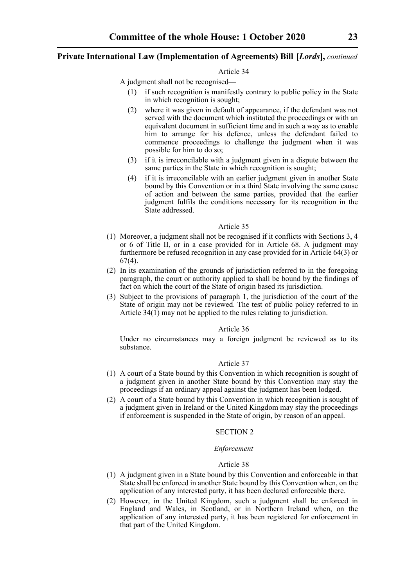#### Article 34

A judgment shall not be recognised—

- (1) if such recognition is manifestly contrary to public policy in the State in which recognition is sought;
- (2) where it was given in default of appearance, if the defendant was not served with the document which instituted the proceedings or with an equivalent document in sufficient time and in such a way as to enable him to arrange for his defence, unless the defendant failed to commence proceedings to challenge the judgment when it was possible for him to do so;
- (3) if it is irreconcilable with a judgment given in a dispute between the same parties in the State in which recognition is sought;
- (4) if it is irreconcilable with an earlier judgment given in another State bound by this Convention or in a third State involving the same cause of action and between the same parties, provided that the earlier judgment fulfils the conditions necessary for its recognition in the State addressed.

#### Article 35

- (1) Moreover, a judgment shall not be recognised if it conflicts with Sections 3, 4 or 6 of Title II, or in a case provided for in Article 68. A judgment may furthermore be refused recognition in any case provided for in Article 64(3) or 67(4).
- (2) In its examination of the grounds of jurisdiction referred to in the foregoing paragraph, the court or authority applied to shall be bound by the findings of fact on which the court of the State of origin based its jurisdiction.
- (3) Subject to the provisions of paragraph 1, the jurisdiction of the court of the State of origin may not be reviewed. The test of public policy referred to in Article 34(1) may not be applied to the rules relating to jurisdiction.

# Article 36

Under no circumstances may a foreign judgment be reviewed as to its substance.

# Article 37

- (1) A court of a State bound by this Convention in which recognition is sought of a judgment given in another State bound by this Convention may stay the proceedings if an ordinary appeal against the judgment has been lodged.
- (2) A court of a State bound by this Convention in which recognition is sought of a judgment given in Ireland or the United Kingdom may stay the proceedings if enforcement is suspended in the State of origin, by reason of an appeal.

# SECTION 2

#### *Enforcement*

- (1) A judgment given in a State bound by this Convention and enforceable in that State shall be enforced in another State bound by this Convention when, on the application of any interested party, it has been declared enforceable there.
- (2) However, in the United Kingdom, such a judgment shall be enforced in England and Wales, in Scotland, or in Northern Ireland when, on the application of any interested party, it has been registered for enforcement in that part of the United Kingdom.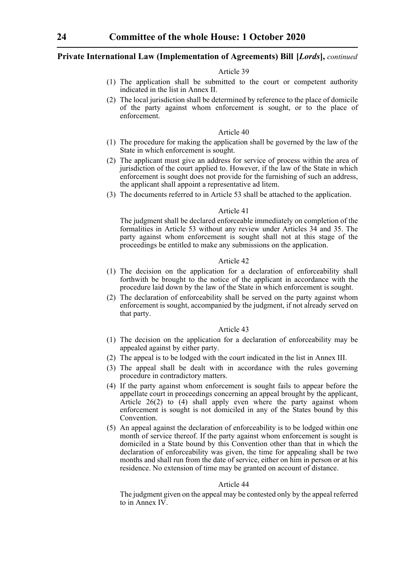# Article 39

- (1) The application shall be submitted to the court or competent authority indicated in the list in Annex II.
- (2) The local jurisdiction shall be determined by reference to the place of domicile of the party against whom enforcement is sought, or to the place of enforcement.

#### Article 40

- (1) The procedure for making the application shall be governed by the law of the State in which enforcement is sought.
- (2) The applicant must give an address for service of process within the area of jurisdiction of the court applied to. However, if the law of the State in which enforcement is sought does not provide for the furnishing of such an address, the applicant shall appoint a representative ad litem.
- (3) The documents referred to in Article 53 shall be attached to the application.

#### Article 41

The judgment shall be declared enforceable immediately on completion of the formalities in Article 53 without any review under Articles 34 and 35. The party against whom enforcement is sought shall not at this stage of the proceedings be entitled to make any submissions on the application.

#### Article 42

- (1) The decision on the application for a declaration of enforceability shall forthwith be brought to the notice of the applicant in accordance with the procedure laid down by the law of the State in which enforcement is sought.
- (2) The declaration of enforceability shall be served on the party against whom enforcement is sought, accompanied by the judgment, if not already served on that party.

#### Article 43

- (1) The decision on the application for a declaration of enforceability may be appealed against by either party.
- (2) The appeal is to be lodged with the court indicated in the list in Annex III.
- (3) The appeal shall be dealt with in accordance with the rules governing procedure in contradictory matters.
- (4) If the party against whom enforcement is sought fails to appear before the appellate court in proceedings concerning an appeal brought by the applicant, Article  $26(2)$  to  $(4)$  shall apply even where the party against whom enforcement is sought is not domiciled in any of the States bound by this Convention.
- (5) An appeal against the declaration of enforceability is to be lodged within one month of service thereof. If the party against whom enforcement is sought is domiciled in a State bound by this Convention other than that in which the declaration of enforceability was given, the time for appealing shall be two months and shall run from the date of service, either on him in person or at his residence. No extension of time may be granted on account of distance.

#### Article 44

The judgment given on the appeal may be contested only by the appeal referred to in Annex IV.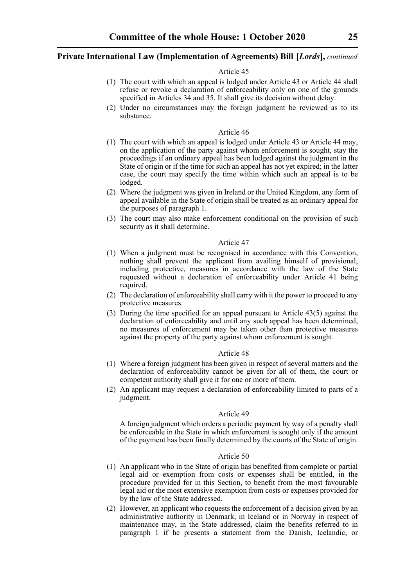#### Article 45

- (1) The court with which an appeal is lodged under Article 43 or Article 44 shall refuse or revoke a declaration of enforceability only on one of the grounds specified in Articles 34 and 35. It shall give its decision without delay.
- (2) Under no circumstances may the foreign judgment be reviewed as to its substance.

#### Article 46

- (1) The court with which an appeal is lodged under Article 43 or Article 44 may, on the application of the party against whom enforcement is sought, stay the proceedings if an ordinary appeal has been lodged against the judgment in the State of origin or if the time for such an appeal has not yet expired; in the latter case, the court may specify the time within which such an appeal is to be lodged.
- (2) Where the judgment was given in Ireland or the United Kingdom, any form of appeal available in the State of origin shall be treated as an ordinary appeal for the purposes of paragraph 1.
- (3) The court may also make enforcement conditional on the provision of such security as it shall determine.

### Article 47

- (1) When a judgment must be recognised in accordance with this Convention, nothing shall prevent the applicant from availing himself of provisional, including protective, measures in accordance with the law of the State requested without a declaration of enforceability under Article 41 being required.
- (2) The declaration of enforceability shall carry with it the power to proceed to any protective measures.
- (3) During the time specified for an appeal pursuant to Article 43(5) against the declaration of enforceability and until any such appeal has been determined, no measures of enforcement may be taken other than protective measures against the property of the party against whom enforcement is sought.

#### Article 48

- (1) Where a foreign judgment has been given in respect of several matters and the declaration of enforceability cannot be given for all of them, the court or competent authority shall give it for one or more of them.
- (2) An applicant may request a declaration of enforceability limited to parts of a judgment.

#### Article 49

A foreign judgment which orders a periodic payment by way of a penalty shall be enforceable in the State in which enforcement is sought only if the amount of the payment has been finally determined by the courts of the State of origin.

- (1) An applicant who in the State of origin has benefited from complete or partial legal aid or exemption from costs or expenses shall be entitled, in the procedure provided for in this Section, to benefit from the most favourable legal aid or the most extensive exemption from costs or expenses provided for by the law of the State addressed.
- (2) However, an applicant who requests the enforcement of a decision given by an administrative authority in Denmark, in Iceland or in Norway in respect of maintenance may, in the State addressed, claim the benefits referred to in paragraph 1 if he presents a statement from the Danish, Icelandic, or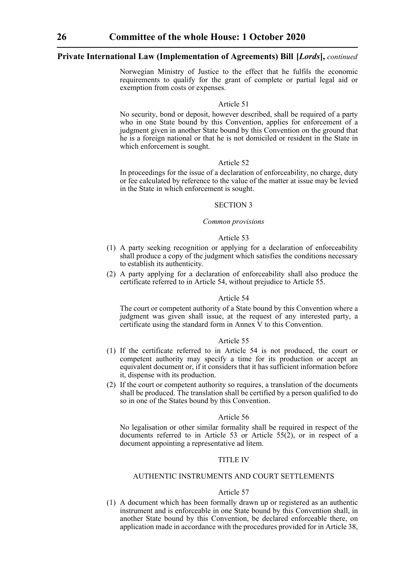Norwegian Ministry of Justice to the effect that he fulfils the economic requirements to qualify for the grant of complete or partial legal aid or exemption from costs or expenses.

#### Article 51

No security, bond or deposit, however described, shall be required of a party who in one State bound by this Convention, applies for enforcement of a judgment given in another State bound by this Convention on the ground that he is a foreign national or that he is not domiciled or resident in the State in which enforcement is sought.

#### Article 52

In proceedings for the issue of a declaration of enforceability, no charge, duty or fee calculated by reference to the value of the matter at issue may be levied in the State in which enforcement is sought.

#### SECTION 3

#### *Common provisions*

#### Article 53

- (1) A party seeking recognition or applying for a declaration of enforceability shall produce a copy of the judgment which satisfies the conditions necessary to establish its authenticity.
- (2) A party applying for a declaration of enforceability shall also produce the certificate referred to in Article 54, without prejudice to Article 55.

#### Article 54

The court or competent authority of a State bound by this Convention where a judgment was given shall issue, at the request of any interested party, a certificate using the standard form in Annex  $\hat{V}$  to this Convention.

#### Article 55

- (1) If the certificate referred to in Article 54 is not produced, the court or competent authority may specify a time for its production or accept an equivalent document or, if it considers that it has sufficient information before it, dispense with its production.
- (2) If the court or competent authority so requires, a translation of the documents shall be produced. The translation shall be certified by a person qualified to do so in one of the States bound by this Convention.

# Article 56

No legalisation or other similar formality shall be required in respect of the documents referred to in Article 53 or Article 55(2), or in respect of a document appointing a representative ad litem.

#### TITLE IV

# AUTHENTIC INSTRUMENTS AND COURT SETTLEMENTS

#### Article 57

(1) A document which has been formally drawn up or registered as an authentic instrument and is enforceable in one State bound by this Convention shall, in another State bound by this Convention, be declared enforceable there, on application made in accordance with the procedures provided for in Article 38,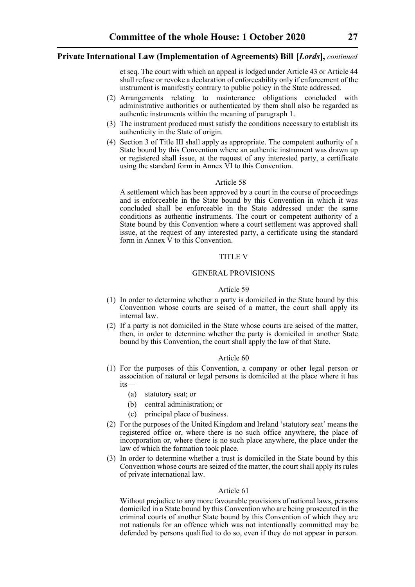et seq. The court with which an appeal is lodged under Article 43 or Article 44 shall refuse or revoke a declaration of enforceability only if enforcement of the instrument is manifestly contrary to public policy in the State addressed.

- (2) Arrangements relating to maintenance obligations concluded with administrative authorities or authenticated by them shall also be regarded as authentic instruments within the meaning of paragraph 1.
- (3) The instrument produced must satisfy the conditions necessary to establish its authenticity in the State of origin.
- (4) Section 3 of Title III shall apply as appropriate. The competent authority of a State bound by this Convention where an authentic instrument was drawn up or registered shall issue, at the request of any interested party, a certificate using the standard form in Annex VI to this Convention.

#### Article 58

A settlement which has been approved by a court in the course of proceedings and is enforceable in the State bound by this Convention in which it was concluded shall be enforceable in the State addressed under the same conditions as authentic instruments. The court or competent authority of a State bound by this Convention where a court settlement was approved shall issue, at the request of any interested party, a certificate using the standard form in Annex  $\overline{V}$  to this Convention.

# TITLE V

# GENERAL PROVISIONS

#### Article 59

- (1) In order to determine whether a party is domiciled in the State bound by this Convention whose courts are seised of a matter, the court shall apply its internal law.
- (2) If a party is not domiciled in the State whose courts are seised of the matter, then, in order to determine whether the party is domiciled in another State bound by this Convention, the court shall apply the law of that State.

#### Article 60

- (1) For the purposes of this Convention, a company or other legal person or association of natural or legal persons is domiciled at the place where it has its—
	- (a) statutory seat; or
	- (b) central administration; or
	- (c) principal place of business.
- (2) For the purposes of the United Kingdom and Ireland 'statutory seat' means the registered office or, where there is no such office anywhere, the place of incorporation or, where there is no such place anywhere, the place under the law of which the formation took place.
- (3) In order to determine whether a trust is domiciled in the State bound by this Convention whose courts are seized of the matter, the court shall apply its rules of private international law.

#### Article 61

Without prejudice to any more favourable provisions of national laws, persons domiciled in a State bound by this Convention who are being prosecuted in the criminal courts of another State bound by this Convention of which they are not nationals for an offence which was not intentionally committed may be defended by persons qualified to do so, even if they do not appear in person.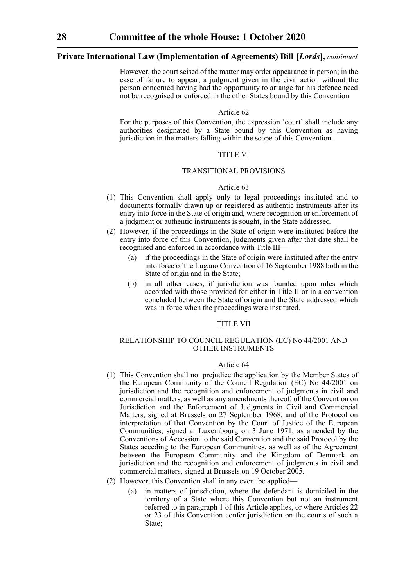However, the court seised of the matter may order appearance in person; in the case of failure to appear, a judgment given in the civil action without the person concerned having had the opportunity to arrange for his defence need not be recognised or enforced in the other States bound by this Convention.

# Article 62

For the purposes of this Convention, the expression 'court' shall include any authorities designated by a State bound by this Convention as having jurisdiction in the matters falling within the scope of this Convention.

# TITLE VI

# TRANSITIONAL PROVISIONS

#### Article 63

- (1) This Convention shall apply only to legal proceedings instituted and to documents formally drawn up or registered as authentic instruments after its entry into force in the State of origin and, where recognition or enforcement of a judgment or authentic instruments is sought, in the State addressed.
- (2) However, if the proceedings in the State of origin were instituted before the entry into force of this Convention, judgments given after that date shall be recognised and enforced in accordance with Title III—
	- (a) if the proceedings in the State of origin were instituted after the entry into force of the Lugano Convention of 16 September 1988 both in the State of origin and in the State;
	- (b) in all other cases, if jurisdiction was founded upon rules which accorded with those provided for either in Title II or in a convention concluded between the State of origin and the State addressed which was in force when the proceedings were instituted.

### TITLE VII

#### RELATIONSHIP TO COUNCIL REGULATION (EC) No 44/2001 AND OTHER INSTRUMENTS

- (1) This Convention shall not prejudice the application by the Member States of the European Community of the Council Regulation (EC) No 44/2001 on jurisdiction and the recognition and enforcement of judgments in civil and commercial matters, as well as any amendments thereof, of the Convention on Jurisdiction and the Enforcement of Judgments in Civil and Commercial Matters, signed at Brussels on 27 September 1968, and of the Protocol on interpretation of that Convention by the Court of Justice of the European Communities, signed at Luxembourg on 3 June 1971, as amended by the Conventions of Accession to the said Convention and the said Protocol by the States acceding to the European Communities, as well as of the Agreement between the European Community and the Kingdom of Denmark on jurisdiction and the recognition and enforcement of judgments in civil and commercial matters, signed at Brussels on 19 October 2005.
- (2) However, this Convention shall in any event be applied—
	- (a) in matters of jurisdiction, where the defendant is domiciled in the territory of a State where this Convention but not an instrument referred to in paragraph 1 of this Article applies, or where Articles 22 or 23 of this Convention confer jurisdiction on the courts of such a State;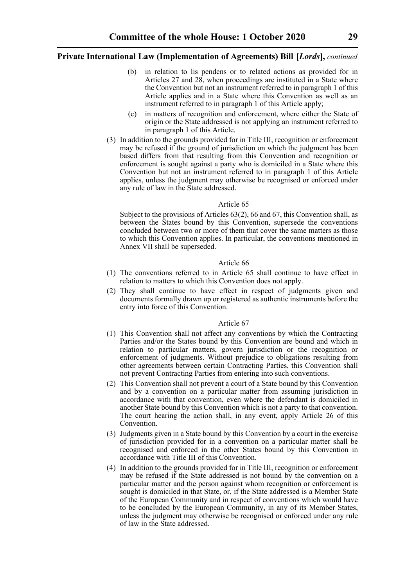- (b) in relation to lis pendens or to related actions as provided for in Articles 27 and 28, when proceedings are instituted in a State where the Convention but not an instrument referred to in paragraph 1 of this Article applies and in a State where this Convention as well as an instrument referred to in paragraph 1 of this Article apply;
- (c) in matters of recognition and enforcement, where either the State of origin or the State addressed is not applying an instrument referred to in paragraph 1 of this Article.
- (3) In addition to the grounds provided for in Title III, recognition or enforcement may be refused if the ground of jurisdiction on which the judgment has been based differs from that resulting from this Convention and recognition or enforcement is sought against a party who is domiciled in a State where this Convention but not an instrument referred to in paragraph 1 of this Article applies, unless the judgment may otherwise be recognised or enforced under any rule of law in the State addressed.

#### Article 65

Subject to the provisions of Articles 63(2), 66 and 67, this Convention shall, as between the States bound by this Convention, supersede the conventions concluded between two or more of them that cover the same matters as those to which this Convention applies. In particular, the conventions mentioned in Annex VII shall be superseded.

# Article 66

- (1) The conventions referred to in Article 65 shall continue to have effect in relation to matters to which this Convention does not apply.
- (2) They shall continue to have effect in respect of judgments given and documents formally drawn up or registered as authentic instruments before the entry into force of this Convention.

- (1) This Convention shall not affect any conventions by which the Contracting Parties and/or the States bound by this Convention are bound and which in relation to particular matters, govern jurisdiction or the recognition or enforcement of judgments. Without prejudice to obligations resulting from other agreements between certain Contracting Parties, this Convention shall not prevent Contracting Parties from entering into such conventions.
- (2) This Convention shall not prevent a court of a State bound by this Convention and by a convention on a particular matter from assuming jurisdiction in accordance with that convention, even where the defendant is domiciled in another State bound by this Convention which is not a party to that convention. The court hearing the action shall, in any event, apply Article 26 of this Convention.
- (3) Judgments given in a State bound by this Convention by a court in the exercise of jurisdiction provided for in a convention on a particular matter shall be recognised and enforced in the other States bound by this Convention in accordance with Title III of this Convention.
- (4) In addition to the grounds provided for in Title III, recognition or enforcement may be refused if the State addressed is not bound by the convention on a particular matter and the person against whom recognition or enforcement is sought is domiciled in that State, or, if the State addressed is a Member State of the European Community and in respect of conventions which would have to be concluded by the European Community, in any of its Member States, unless the judgment may otherwise be recognised or enforced under any rule of law in the State addressed.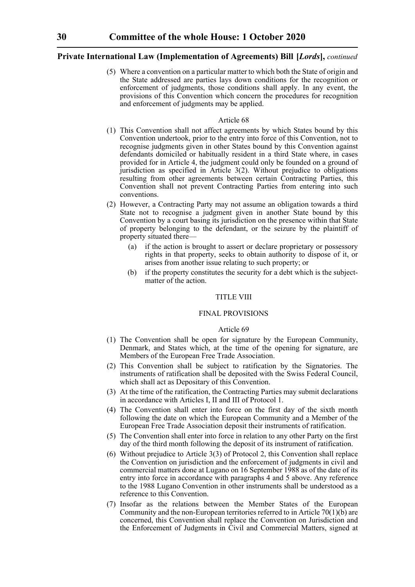(5) Where a convention on a particular matter to which both the State of origin and the State addressed are parties lays down conditions for the recognition or enforcement of judgments, those conditions shall apply. In any event, the provisions of this Convention which concern the procedures for recognition and enforcement of judgments may be applied.

#### Article 68

- (1) This Convention shall not affect agreements by which States bound by this Convention undertook, prior to the entry into force of this Convention, not to recognise judgments given in other States bound by this Convention against defendants domiciled or habitually resident in a third State where, in cases provided for in Article 4, the judgment could only be founded on a ground of jurisdiction as specified in Article 3(2). Without prejudice to obligations resulting from other agreements between certain Contracting Parties, this Convention shall not prevent Contracting Parties from entering into such conventions.
- (2) However, a Contracting Party may not assume an obligation towards a third State not to recognise a judgment given in another State bound by this Convention by a court basing its jurisdiction on the presence within that State of property belonging to the defendant, or the seizure by the plaintiff of property situated there—
	- (a) if the action is brought to assert or declare proprietary or possessory rights in that property, seeks to obtain authority to dispose of it, or arises from another issue relating to such property; or
	- (b) if the property constitutes the security for a debt which is the subjectmatter of the action.

# TITLE VIII

#### FINAL PROVISIONS

- (1) The Convention shall be open for signature by the European Community, Denmark, and States which, at the time of the opening for signature, are Members of the European Free Trade Association.
- (2) This Convention shall be subject to ratification by the Signatories. The instruments of ratification shall be deposited with the Swiss Federal Council, which shall act as Depositary of this Convention.
- (3) At the time of the ratification, the Contracting Parties may submit declarations in accordance with Articles I, II and III of Protocol 1.
- (4) The Convention shall enter into force on the first day of the sixth month following the date on which the European Community and a Member of the European Free Trade Association deposit their instruments of ratification.
- (5) The Convention shall enter into force in relation to any other Party on the first day of the third month following the deposit of its instrument of ratification.
- (6) Without prejudice to Article 3(3) of Protocol 2, this Convention shall replace the Convention on jurisdiction and the enforcement of judgments in civil and commercial matters done at Lugano on 16 September 1988 as of the date of its entry into force in accordance with paragraphs 4 and 5 above. Any reference to the 1988 Lugano Convention in other instruments shall be understood as a reference to this Convention.
- (7) Insofar as the relations between the Member States of the European Community and the non-European territories referred to in Article 70(1)(b) are concerned, this Convention shall replace the Convention on Jurisdiction and the Enforcement of Judgments in Civil and Commercial Matters, signed at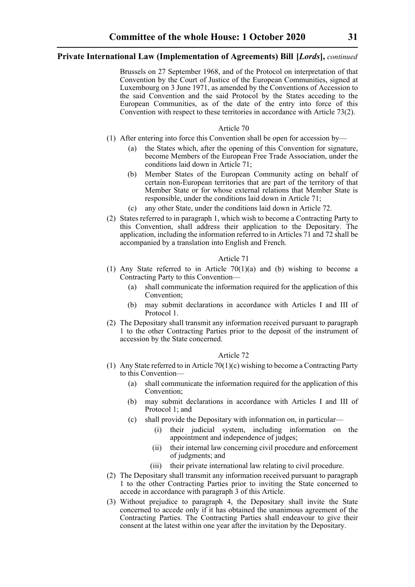Brussels on 27 September 1968, and of the Protocol on interpretation of that Convention by the Court of Justice of the European Communities, signed at Luxembourg on 3 June 1971, as amended by the Conventions of Accession to the said Convention and the said Protocol by the States acceding to the European Communities, as of the date of the entry into force of this Convention with respect to these territories in accordance with Article 73(2).

# Article 70

- (1) After entering into force this Convention shall be open for accession by—
	- (a) the States which, after the opening of this Convention for signature, become Members of the European Free Trade Association, under the conditions laid down in Article 71;
	- (b) Member States of the European Community acting on behalf of certain non-European territories that are part of the territory of that Member State or for whose external relations that Member State is responsible, under the conditions laid down in Article 71;
	- (c) any other State, under the conditions laid down in Article 72.
- (2) States referred to in paragraph 1, which wish to become a Contracting Party to this Convention, shall address their application to the Depositary. The application, including the information referred to in Articles 71 and 72 shall be accompanied by a translation into English and French.

# Article 71

- (1) Any State referred to in Article 70(1)(a) and (b) wishing to become a Contracting Party to this Convention—
	- (a) shall communicate the information required for the application of this Convention;
	- (b) may submit declarations in accordance with Articles I and III of Protocol 1.
- (2) The Depositary shall transmit any information received pursuant to paragraph 1 to the other Contracting Parties prior to the deposit of the instrument of accession by the State concerned.

- (1) Any State referred to in Article 70(1)(c) wishing to become a Contracting Party to this Convention—
	- (a) shall communicate the information required for the application of this Convention;
	- (b) may submit declarations in accordance with Articles I and III of Protocol 1; and
	- (c) shall provide the Depositary with information on, in particular—
		- (i) their judicial system, including information on the appointment and independence of judges;
		- (ii) their internal law concerning civil procedure and enforcement of judgments; and
		- (iii) their private international law relating to civil procedure.
- (2) The Depositary shall transmit any information received pursuant to paragraph 1 to the other Contracting Parties prior to inviting the State concerned to accede in accordance with paragraph 3 of this Article.
- (3) Without prejudice to paragraph 4, the Depositary shall invite the State concerned to accede only if it has obtained the unanimous agreement of the Contracting Parties. The Contracting Parties shall endeavour to give their consent at the latest within one year after the invitation by the Depositary.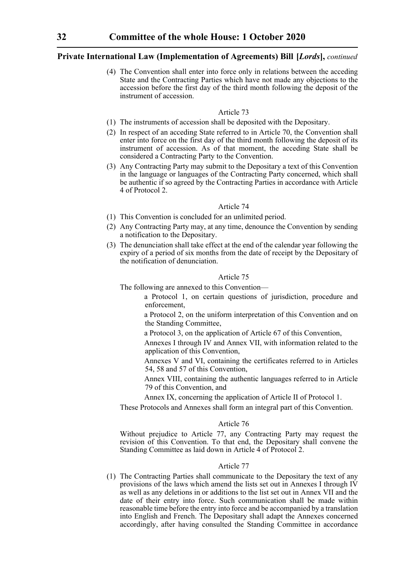(4) The Convention shall enter into force only in relations between the acceding State and the Contracting Parties which have not made any objections to the accession before the first day of the third month following the deposit of the instrument of accession.

# Article 73

- (1) The instruments of accession shall be deposited with the Depositary.
- (2) In respect of an acceding State referred to in Article 70, the Convention shall enter into force on the first day of the third month following the deposit of its instrument of accession. As of that moment, the acceding State shall be considered a Contracting Party to the Convention.
- (3) Any Contracting Party may submit to the Depositary a text of this Convention in the language or languages of the Contracting Party concerned, which shall be authentic if so agreed by the Contracting Parties in accordance with Article 4 of Protocol 2.

# Article 74

- (1) This Convention is concluded for an unlimited period.
- (2) Any Contracting Party may, at any time, denounce the Convention by sending a notification to the Depositary.
- (3) The denunciation shall take effect at the end of the calendar year following the expiry of a period of six months from the date of receipt by the Depositary of the notification of denunciation.

# Article 75

The following are annexed to this Convention—

a Protocol 1, on certain questions of jurisdiction, procedure and enforcement,

a Protocol 2, on the uniform interpretation of this Convention and on the Standing Committee,

a Protocol 3, on the application of Article 67 of this Convention,

Annexes I through IV and Annex VII, with information related to the application of this Convention,

Annexes V and VI, containing the certificates referred to in Articles 54, 58 and 57 of this Convention,

Annex VIII, containing the authentic languages referred to in Article 79 of this Convention, and

Annex IX, concerning the application of Article II of Protocol 1.

These Protocols and Annexes shall form an integral part of this Convention.

#### Article 76

Without prejudice to Article 77, any Contracting Party may request the revision of this Convention. To that end, the Depositary shall convene the Standing Committee as laid down in Article 4 of Protocol 2.

### Article 77

(1) The Contracting Parties shall communicate to the Depositary the text of any provisions of the laws which amend the lists set out in Annexes I through IV as well as any deletions in or additions to the list set out in Annex VII and the date of their entry into force. Such communication shall be made within reasonable time before the entry into force and be accompanied by a translation into English and French. The Depositary shall adapt the Annexes concerned accordingly, after having consulted the Standing Committee in accordance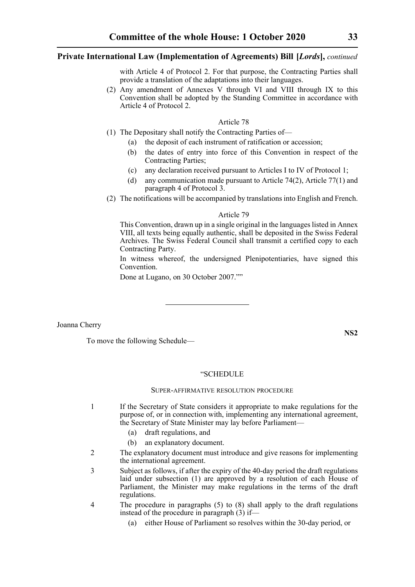with Article 4 of Protocol 2. For that purpose, the Contracting Parties shall provide a translation of the adaptations into their languages.

(2) Any amendment of Annexes V through VI and VIII through IX to this Convention shall be adopted by the Standing Committee in accordance with Article 4 of Protocol 2.

#### Article 78

- (1) The Depositary shall notify the Contracting Parties of—
	- (a) the deposit of each instrument of ratification or accession;
	- (b) the dates of entry into force of this Convention in respect of the Contracting Parties;
	- (c) any declaration received pursuant to Articles I to IV of Protocol 1;
	- (d) any communication made pursuant to Article 74(2), Article 77(1) and paragraph 4 of Protocol 3.
- (2) The notifications will be accompanied by translations into English and French.

#### Article 79

This Convention, drawn up in a single original in the languages listed in Annex VIII, all texts being equally authentic, shall be deposited in the Swiss Federal Archives. The Swiss Federal Council shall transmit a certified copy to each Contracting Party.

In witness whereof, the undersigned Plenipotentiaries, have signed this **Convention** 

Done at Lugano, on 30 October 2007.""

Joanna Cherry

To move the following Schedule—

### "SCHEDULE

#### SUPER-AFFIRMATIVE RESOLUTION PROCEDURE

- 1 If the Secretary of State considers it appropriate to make regulations for the purpose of, or in connection with, implementing any international agreement, the Secretary of State Minister may lay before Parliament—
	- (a) draft regulations, and
	- (b) an explanatory document.
- 2 The explanatory document must introduce and give reasons for implementing the international agreement.
- 3 Subject as follows, if after the expiry of the 40-day period the draft regulations laid under subsection (1) are approved by a resolution of each House of Parliament, the Minister may make regulations in the terms of the draft regulations.
- 4 The procedure in paragraphs (5) to (8) shall apply to the draft regulations instead of the procedure in paragraph (3) if—
	- (a) either House of Parliament so resolves within the 30-day period, or

**NS2**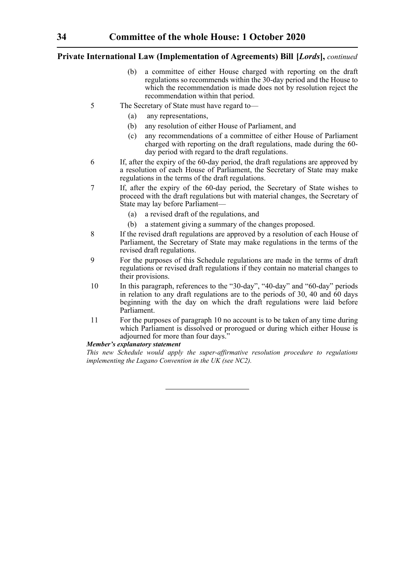- (b) a committee of either House charged with reporting on the draft regulations so recommends within the 30-day period and the House to which the recommendation is made does not by resolution reject the recommendation within that period.
- 5 The Secretary of State must have regard to—
	- (a) any representations,
	- (b) any resolution of either House of Parliament, and
	- (c) any recommendations of a committee of either House of Parliament charged with reporting on the draft regulations, made during the 60 day period with regard to the draft regulations.
- 6 If, after the expiry of the 60-day period, the draft regulations are approved by a resolution of each House of Parliament, the Secretary of State may make regulations in the terms of the draft regulations.
- 7 If, after the expiry of the 60-day period, the Secretary of State wishes to proceed with the draft regulations but with material changes, the Secretary of State may lay before Parliament—
	- (a) a revised draft of the regulations, and
	- (b) a statement giving a summary of the changes proposed.
- 8 If the revised draft regulations are approved by a resolution of each House of Parliament, the Secretary of State may make regulations in the terms of the revised draft regulations.
- 9 For the purposes of this Schedule regulations are made in the terms of draft regulations or revised draft regulations if they contain no material changes to their provisions.
- 10 In this paragraph, references to the "30-day", "40-day" and "60-day" periods in relation to any draft regulations are to the periods of 30, 40 and 60 days beginning with the day on which the draft regulations were laid before Parliament.
- 11 For the purposes of paragraph 10 no account is to be taken of any time during which Parliament is dissolved or prorogued or during which either House is adjourned for more than four days.'

# *Member's explanatory statement*

*This new Schedule would apply the super-affirmative resolution procedure to regulations implementing the Lugano Convention in the UK (see NC2).*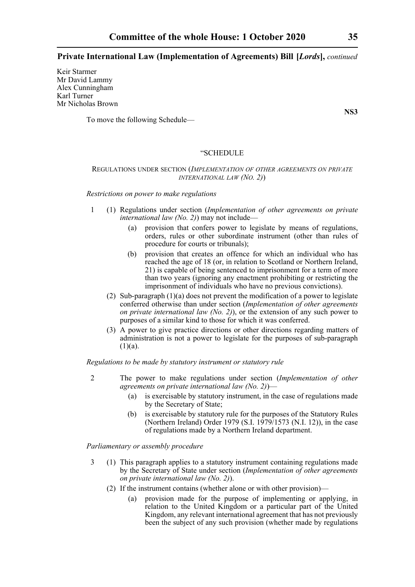Keir Starmer Mr David Lammy Alex Cunningham Karl Turner Mr Nicholas Brown

To move the following Schedule—

# "SCHEDULE

#### REGULATIONS UNDER SECTION (*IMPLEMENTATION OF OTHER AGREEMENTS ON PRIVATE INTERNATIONAL LAW (NO. 2)*)

*Restrictions on power to make regulations*

- 1 (1) Regulations under section (*Implementation of other agreements on private international law (No. 2)*) may not include—
	- (a) provision that confers power to legislate by means of regulations, orders, rules or other subordinate instrument (other than rules of procedure for courts or tribunals);
	- (b) provision that creates an offence for which an individual who has reached the age of 18 (or, in relation to Scotland or Northern Ireland, 21) is capable of being sentenced to imprisonment for a term of more than two years (ignoring any enactment prohibiting or restricting the imprisonment of individuals who have no previous convictions).
	- (2) Sub-paragraph (1)(a) does not prevent the modification of a power to legislate conferred otherwise than under section (*Implementation of other agreements on private international law (No. 2)*), or the extension of any such power to purposes of a similar kind to those for which it was conferred.
	- (3) A power to give practice directions or other directions regarding matters of administration is not a power to legislate for the purposes of sub-paragraph  $(1)(a)$ .

*Regulations to be made by statutory instrument or statutory rule*

- 2 The power to make regulations under section (*Implementation of other agreements on private international law (No. 2)*)—
	- (a) is exercisable by statutory instrument, in the case of regulations made by the Secretary of State;
	- (b) is exercisable by statutory rule for the purposes of the Statutory Rules (Northern Ireland) Order 1979 (S.I. 1979/1573 (N.I. 12)), in the case of regulations made by a Northern Ireland department.

*Parliamentary or assembly procedure*

- 3 (1) This paragraph applies to a statutory instrument containing regulations made by the Secretary of State under section (*Implementation of other agreements on private international law (No. 2)*).
	- (2) If the instrument contains (whether alone or with other provision)—
		- (a) provision made for the purpose of implementing or applying, in relation to the United Kingdom or a particular part of the United Kingdom, any relevant international agreement that has not previously been the subject of any such provision (whether made by regulations

**NS3**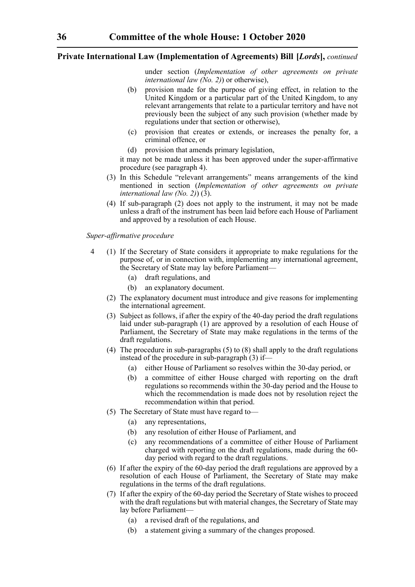under section (*Implementation of other agreements on private international law (No. 2)*) or otherwise),

- (b) provision made for the purpose of giving effect, in relation to the United Kingdom or a particular part of the United Kingdom, to any relevant arrangements that relate to a particular territory and have not previously been the subject of any such provision (whether made by regulations under that section or otherwise),
- (c) provision that creates or extends, or increases the penalty for, a criminal offence, or
- (d) provision that amends primary legislation,

it may not be made unless it has been approved under the super-affirmative procedure (see paragraph 4).

- (3) In this Schedule "relevant arrangements" means arrangements of the kind mentioned in section (*Implementation of other agreements on private international law (No. 2)*) (3).
- (4) If sub-paragraph (2) does not apply to the instrument, it may not be made unless a draft of the instrument has been laid before each House of Parliament and approved by a resolution of each House.

*Super-affirmative procedure*

- 4 (1) If the Secretary of State considers it appropriate to make regulations for the purpose of, or in connection with, implementing any international agreement, the Secretary of State may lay before Parliament—
	- (a) draft regulations, and
	- (b) an explanatory document.
	- (2) The explanatory document must introduce and give reasons for implementing the international agreement.
	- (3) Subject as follows, if after the expiry of the 40-day period the draft regulations laid under sub-paragraph (1) are approved by a resolution of each House of Parliament, the Secretary of State may make regulations in the terms of the draft regulations.
	- (4) The procedure in sub-paragraphs  $(5)$  to  $(8)$  shall apply to the draft regulations instead of the procedure in sub-paragraph (3) if—
		- (a) either House of Parliament so resolves within the 30-day period, or
		- (b) a committee of either House charged with reporting on the draft regulations so recommends within the 30-day period and the House to which the recommendation is made does not by resolution reject the recommendation within that period.
	- (5) The Secretary of State must have regard to—
		- (a) any representations,
		- (b) any resolution of either House of Parliament, and
		- (c) any recommendations of a committee of either House of Parliament charged with reporting on the draft regulations, made during the 60 day period with regard to the draft regulations.
	- (6) If after the expiry of the 60-day period the draft regulations are approved by a resolution of each House of Parliament, the Secretary of State may make regulations in the terms of the draft regulations.
	- (7) If after the expiry of the 60-day period the Secretary of State wishes to proceed with the draft regulations but with material changes, the Secretary of State may lay before Parliament—
		- (a) a revised draft of the regulations, and
		- (b) a statement giving a summary of the changes proposed.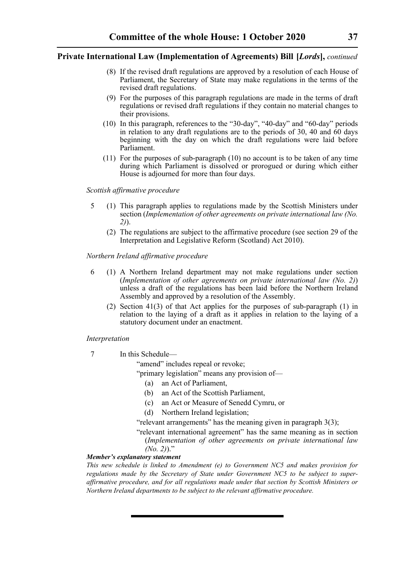- (8) If the revised draft regulations are approved by a resolution of each House of Parliament, the Secretary of State may make regulations in the terms of the revised draft regulations.
- (9) For the purposes of this paragraph regulations are made in the terms of draft regulations or revised draft regulations if they contain no material changes to their provisions.
- (10) In this paragraph, references to the "30-day", "40-day" and "60-day" periods in relation to any draft regulations are to the periods of 30, 40 and 60 days beginning with the day on which the draft regulations were laid before Parliament.
- (11) For the purposes of sub-paragraph (10) no account is to be taken of any time during which Parliament is dissolved or prorogued or during which either House is adjourned for more than four days.

# *Scottish affirmative procedure*

- 5 (1) This paragraph applies to regulations made by the Scottish Ministers under section (*Implementation of other agreements on private international law (No. 2)*).
	- (2) The regulations are subject to the affirmative procedure (see section 29 of the Interpretation and Legislative Reform (Scotland) Act 2010).

# *Northern Ireland affirmative procedure*

- 6 (1) A Northern Ireland department may not make regulations under section (*Implementation of other agreements on private international law (No. 2)*) unless a draft of the regulations has been laid before the Northern Ireland Assembly and approved by a resolution of the Assembly.
	- (2) Section 41(3) of that Act applies for the purposes of sub-paragraph (1) in relation to the laying of a draft as it applies in relation to the laying of a statutory document under an enactment.

#### *Interpretation*

7 In this Schedule—

"amend" includes repeal or revoke;

"primary legislation" means any provision of—

- (a) an Act of Parliament,
- (b) an Act of the Scottish Parliament,
- (c) an Act or Measure of Senedd Cymru, or
- (d) Northern Ireland legislation;

"relevant arrangements" has the meaning given in paragraph 3(3);

"relevant international agreement" has the same meaning as in section (*Implementation of other agreements on private international law (No. 2)*)."

# *Member's explanatory statement*

*This new schedule is linked to Amendment (e) to Government NC5 and makes provision for regulations made by the Secretary of State under Government NC5 to be subject to superaffirmative procedure, and for all regulations made under that section by Scottish Ministers or Northern Ireland departments to be subject to the relevant affirmative procedure.*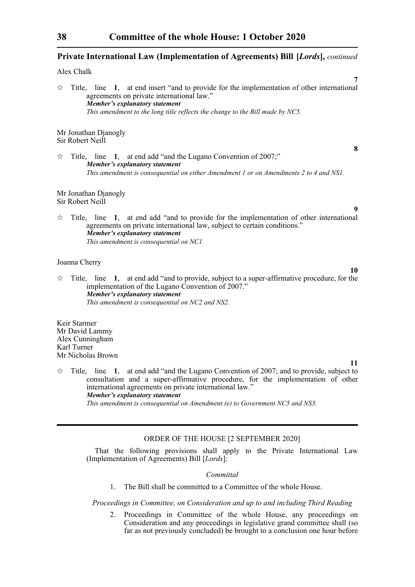Alex Chalk

 $\vec{\mathcal{R}}$  Title, line **1**, at end insert "and to provide for the implementation of other international agreements on private international law." *Member's explanatory statement This amendment to the long title reflects the change to the Bill made by NC5.*

Mr Jonathan Djanogly Sir Robert Neill

 $\hat{x}$  Title, line 1, at end add "and the Lugano Convention of 2007;" *Member's explanatory statement This amendment is consequential on either Amendment 1 or on Amendments 2 to 4 and NS1.*

Mr Jonathan Djanogly Sir Robert Neill

**9**

**10**

**11**

**8**

**7**

 $\dot{\varphi}$  Title, line 1, at end add "and to provide for the implementation of other international agreements on private international law, subject to certain conditions." *Member's explanatory statement This amendment is consequential on NC1.*

Joanna Cherry

 $\hat{\tau}$  Title, line **1**, at end add "and to provide, subject to a super-affirmative procedure, for the implementation of the Lugano Convention of 2007." *Member's explanatory statement This amendment is consequential on NC2 and NS2.*

Keir Starmer Mr David Lammy Alex Cunningham Karl Turner Mr Nicholas Brown

 $\hat{\mathcal{R}}$  Title, line 1, at end add "and the Lugano Convention of 2007; and to provide, subject to consultation and a super-affirmative procedure, for the implementation of other international agreements on private international law." *Member's explanatory statement* 

*This amendment is consequential on Amendment (e) to Government NC5 and NS3.*

# ORDER OF THE HOUSE [2 SEPTEMBER 2020]

That the following provisions shall apply to the Private International Law (Implementation of Agreements) Bill [*Lords*]:

#### *Committal*

1. The Bill shall be committed to a Committee of the whole House.

*Proceedings in Committee, on Consideration and up to and including Third Reading*

2. Proceedings in Committee of the whole House, any proceedings on Consideration and any proceedings in legislative grand committee shall (so far as not previously concluded) be brought to a conclusion one hour before